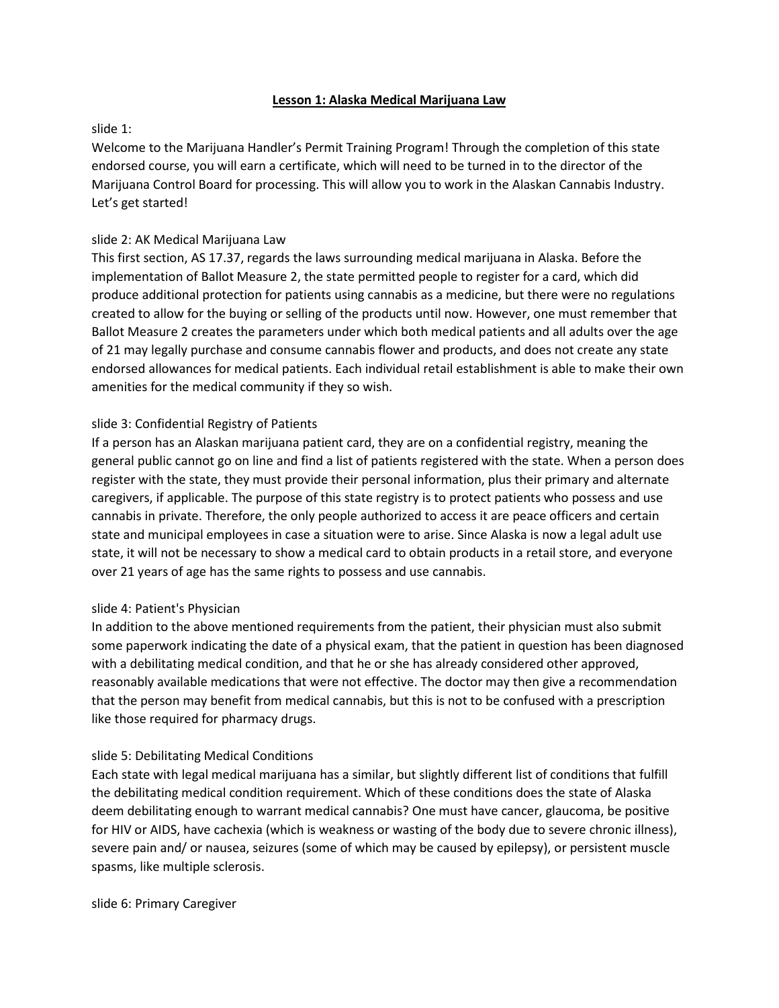### **Lesson 1: Alaska Medical Marijuana Law**

# slide 1:

Welcome to the Marijuana Handler's Permit Training Program! Through the completion of this state endorsed course, you will earn a certificate, which will need to be turned in to the director of the Marijuana Control Board for processing. This will allow you to work in the Alaskan Cannabis Industry. Let's get started!

# slide 2: AK Medical Marijuana Law

This first section, AS 17.37, regards the laws surrounding medical marijuana in Alaska. Before the implementation of Ballot Measure 2, the state permitted people to register for a card, which did produce additional protection for patients using cannabis as a medicine, but there were no regulations created to allow for the buying or selling of the products until now. However, one must remember that Ballot Measure 2 creates the parameters under which both medical patients and all adults over the age of 21 may legally purchase and consume cannabis flower and products, and does not create any state endorsed allowances for medical patients. Each individual retail establishment is able to make their own amenities for the medical community if they so wish.

# slide 3: Confidential Registry of Patients

If a person has an Alaskan marijuana patient card, they are on a confidential registry, meaning the general public cannot go on line and find a list of patients registered with the state. When a person does register with the state, they must provide their personal information, plus their primary and alternate caregivers, if applicable. The purpose of this state registry is to protect patients who possess and use cannabis in private. Therefore, the only people authorized to access it are peace officers and certain state and municipal employees in case a situation were to arise. Since Alaska is now a legal adult use state, it will not be necessary to show a medical card to obtain products in a retail store, and everyone over 21 years of age has the same rights to possess and use cannabis.

# slide 4: Patient's Physician

In addition to the above mentioned requirements from the patient, their physician must also submit some paperwork indicating the date of a physical exam, that the patient in question has been diagnosed with a debilitating medical condition, and that he or she has already considered other approved, reasonably available medications that were not effective. The doctor may then give a recommendation that the person may benefit from medical cannabis, but this is not to be confused with a prescription like those required for pharmacy drugs.

# slide 5: Debilitating Medical Conditions

Each state with legal medical marijuana has a similar, but slightly different list of conditions that fulfill the debilitating medical condition requirement. Which of these conditions does the state of Alaska deem debilitating enough to warrant medical cannabis? One must have cancer, glaucoma, be positive for HIV or AIDS, have cachexia (which is weakness or wasting of the body due to severe chronic illness), severe pain and/ or nausea, seizures (some of which may be caused by epilepsy), or persistent muscle spasms, like multiple sclerosis.

slide 6: Primary Caregiver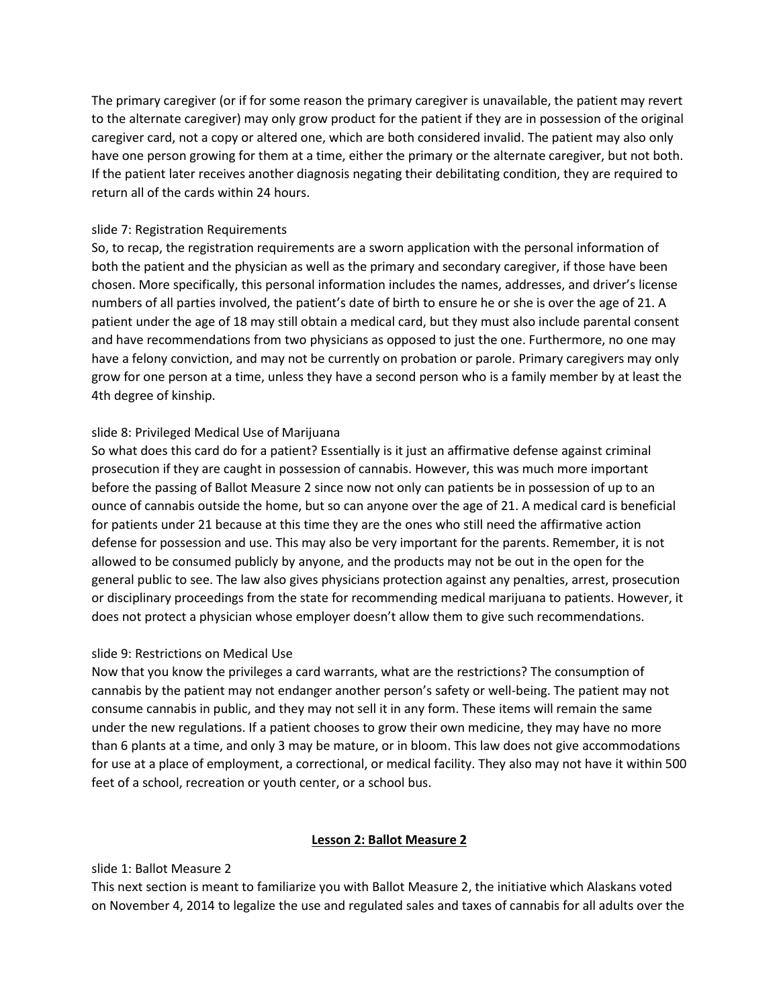The primary caregiver (or if for some reason the primary caregiver is unavailable, the patient may revert to the alternate caregiver) may only grow product for the patient if they are in possession of the original caregiver card, not a copy or altered one, which are both considered invalid. The patient may also only have one person growing for them at a time, either the primary or the alternate caregiver, but not both. If the patient later receives another diagnosis negating their debilitating condition, they are required to return all of the cards within 24 hours.

### slide 7: Registration Requirements

So, to recap, the registration requirements are a sworn application with the personal information of both the patient and the physician as well as the primary and secondary caregiver, if those have been chosen. More specifically, this personal information includes the names, addresses, and driver's license numbers of all parties involved, the patient's date of birth to ensure he or she is over the age of 21. A patient under the age of 18 may still obtain a medical card, but they must also include parental consent and have recommendations from two physicians as opposed to just the one. Furthermore, no one may have a felony conviction, and may not be currently on probation or parole. Primary caregivers may only grow for one person at a time, unless they have a second person who is a family member by at least the 4th degree of kinship.

# slide 8: Privileged Medical Use of Marijuana

So what does this card do for a patient? Essentially is it just an affirmative defense against criminal prosecution if they are caught in possession of cannabis. However, this was much more important before the passing of Ballot Measure 2 since now not only can patients be in possession of up to an ounce of cannabis outside the home, but so can anyone over the age of 21. A medical card is beneficial for patients under 21 because at this time they are the ones who still need the affirmative action defense for possession and use. This may also be very important for the parents. Remember, it is not allowed to be consumed publicly by anyone, and the products may not be out in the open for the general public to see. The law also gives physicians protection against any penalties, arrest, prosecution or disciplinary proceedings from the state for recommending medical marijuana to patients. However, it does not protect a physician whose employer doesn't allow them to give such recommendations.

# slide 9: Restrictions on Medical Use

Now that you know the privileges a card warrants, what are the restrictions? The consumption of cannabis by the patient may not endanger another person's safety or well-being. The patient may not consume cannabis in public, and they may not sell it in any form. These items will remain the same under the new regulations. If a patient chooses to grow their own medicine, they may have no more than 6 plants at a time, and only 3 may be mature, or in bloom. This law does not give accommodations for use at a place of employment, a correctional, or medical facility. They also may not have it within 500 feet of a school, recreation or youth center, or a school bus.

#### **Lesson 2: Ballot Measure 2**

# slide 1: Ballot Measure 2

This next section is meant to familiarize you with Ballot Measure 2, the initiative which Alaskans voted on November 4, 2014 to legalize the use and regulated sales and taxes of cannabis for all adults over the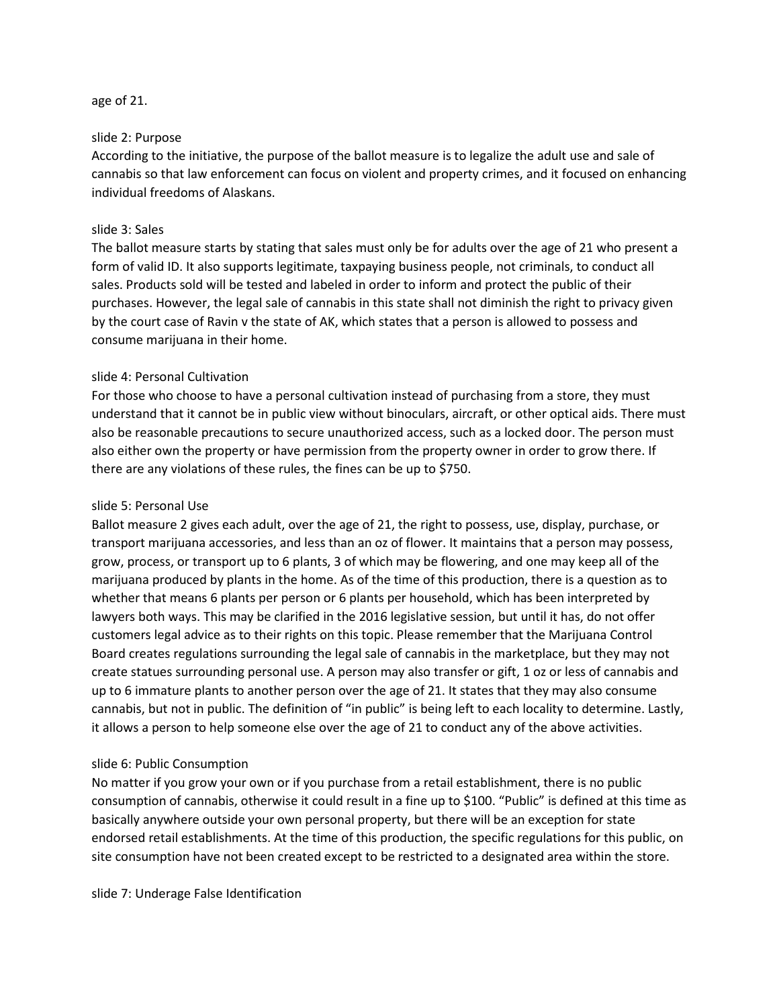### age of 21.

### slide 2: Purpose

According to the initiative, the purpose of the ballot measure is to legalize the adult use and sale of cannabis so that law enforcement can focus on violent and property crimes, and it focused on enhancing individual freedoms of Alaskans.

### slide 3: Sales

The ballot measure starts by stating that sales must only be for adults over the age of 21 who present a form of valid ID. It also supports legitimate, taxpaying business people, not criminals, to conduct all sales. Products sold will be tested and labeled in order to inform and protect the public of their purchases. However, the legal sale of cannabis in this state shall not diminish the right to privacy given by the court case of Ravin v the state of AK, which states that a person is allowed to possess and consume marijuana in their home.

# slide 4: Personal Cultivation

For those who choose to have a personal cultivation instead of purchasing from a store, they must understand that it cannot be in public view without binoculars, aircraft, or other optical aids. There must also be reasonable precautions to secure unauthorized access, such as a locked door. The person must also either own the property or have permission from the property owner in order to grow there. If there are any violations of these rules, the fines can be up to \$750.

#### slide 5: Personal Use

Ballot measure 2 gives each adult, over the age of 21, the right to possess, use, display, purchase, or transport marijuana accessories, and less than an oz of flower. It maintains that a person may possess, grow, process, or transport up to 6 plants, 3 of which may be flowering, and one may keep all of the marijuana produced by plants in the home. As of the time of this production, there is a question as to whether that means 6 plants per person or 6 plants per household, which has been interpreted by lawyers both ways. This may be clarified in the 2016 legislative session, but until it has, do not offer customers legal advice as to their rights on this topic. Please remember that the Marijuana Control Board creates regulations surrounding the legal sale of cannabis in the marketplace, but they may not create statues surrounding personal use. A person may also transfer or gift, 1 oz or less of cannabis and up to 6 immature plants to another person over the age of 21. It states that they may also consume cannabis, but not in public. The definition of "in public" is being left to each locality to determine. Lastly, it allows a person to help someone else over the age of 21 to conduct any of the above activities.

#### slide 6: Public Consumption

No matter if you grow your own or if you purchase from a retail establishment, there is no public consumption of cannabis, otherwise it could result in a fine up to \$100. "Public" is defined at this time as basically anywhere outside your own personal property, but there will be an exception for state endorsed retail establishments. At the time of this production, the specific regulations for this public, on site consumption have not been created except to be restricted to a designated area within the store.

slide 7: Underage False Identification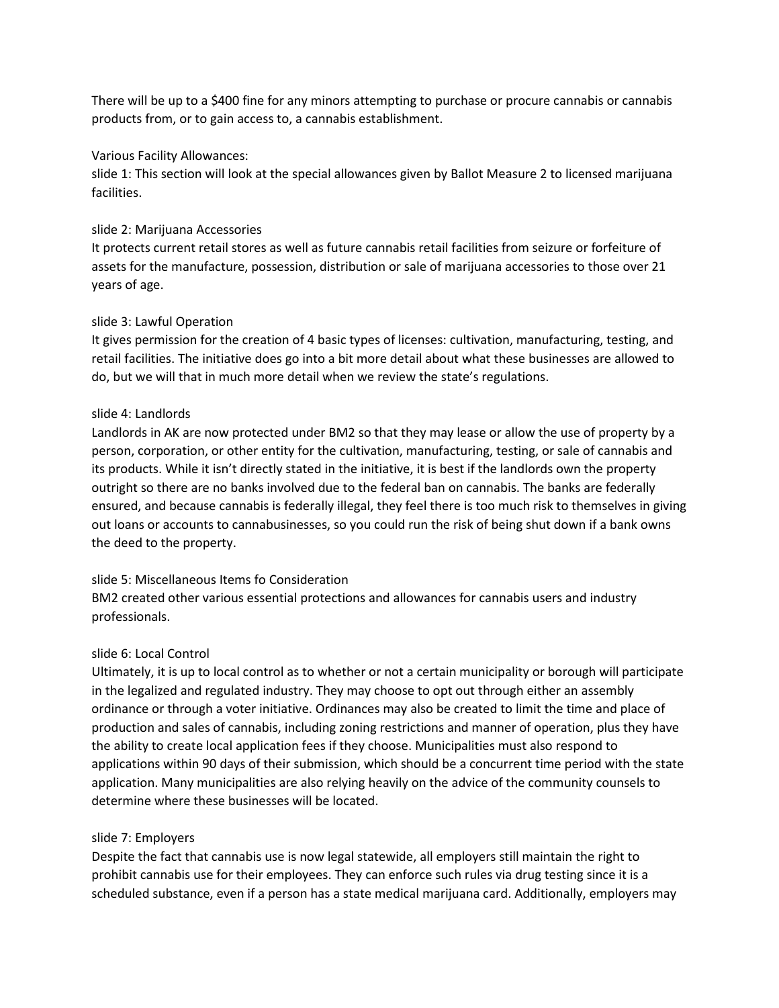There will be up to a \$400 fine for any minors attempting to purchase or procure cannabis or cannabis products from, or to gain access to, a cannabis establishment.

# Various Facility Allowances:

slide 1: This section will look at the special allowances given by Ballot Measure 2 to licensed marijuana facilities.

# slide 2: Marijuana Accessories

It protects current retail stores as well as future cannabis retail facilities from seizure or forfeiture of assets for the manufacture, possession, distribution or sale of marijuana accessories to those over 21 years of age.

# slide 3: Lawful Operation

It gives permission for the creation of 4 basic types of licenses: cultivation, manufacturing, testing, and retail facilities. The initiative does go into a bit more detail about what these businesses are allowed to do, but we will that in much more detail when we review the state's regulations.

# slide 4: Landlords

Landlords in AK are now protected under BM2 so that they may lease or allow the use of property by a person, corporation, or other entity for the cultivation, manufacturing, testing, or sale of cannabis and its products. While it isn't directly stated in the initiative, it is best if the landlords own the property outright so there are no banks involved due to the federal ban on cannabis. The banks are federally ensured, and because cannabis is federally illegal, they feel there is too much risk to themselves in giving out loans or accounts to cannabusinesses, so you could run the risk of being shut down if a bank owns the deed to the property.

# slide 5: Miscellaneous Items fo Consideration

BM2 created other various essential protections and allowances for cannabis users and industry professionals.

# slide 6: Local Control

Ultimately, it is up to local control as to whether or not a certain municipality or borough will participate in the legalized and regulated industry. They may choose to opt out through either an assembly ordinance or through a voter initiative. Ordinances may also be created to limit the time and place of production and sales of cannabis, including zoning restrictions and manner of operation, plus they have the ability to create local application fees if they choose. Municipalities must also respond to applications within 90 days of their submission, which should be a concurrent time period with the state application. Many municipalities are also relying heavily on the advice of the community counsels to determine where these businesses will be located.

# slide 7: Employers

Despite the fact that cannabis use is now legal statewide, all employers still maintain the right to prohibit cannabis use for their employees. They can enforce such rules via drug testing since it is a scheduled substance, even if a person has a state medical marijuana card. Additionally, employers may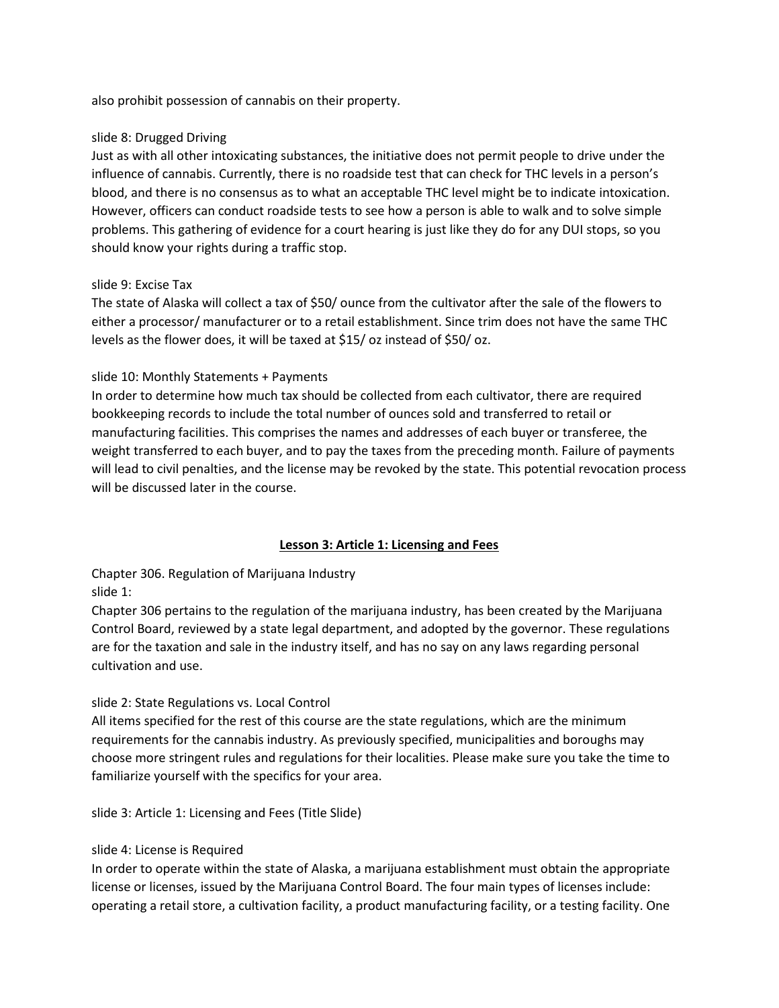also prohibit possession of cannabis on their property.

# slide 8: Drugged Driving

Just as with all other intoxicating substances, the initiative does not permit people to drive under the influence of cannabis. Currently, there is no roadside test that can check for THC levels in a person's blood, and there is no consensus as to what an acceptable THC level might be to indicate intoxication. However, officers can conduct roadside tests to see how a person is able to walk and to solve simple problems. This gathering of evidence for a court hearing is just like they do for any DUI stops, so you should know your rights during a traffic stop.

# slide 9: Excise Tax

The state of Alaska will collect a tax of \$50/ ounce from the cultivator after the sale of the flowers to either a processor/ manufacturer or to a retail establishment. Since trim does not have the same THC levels as the flower does, it will be taxed at \$15/ oz instead of \$50/ oz.

# slide 10: Monthly Statements + Payments

In order to determine how much tax should be collected from each cultivator, there are required bookkeeping records to include the total number of ounces sold and transferred to retail or manufacturing facilities. This comprises the names and addresses of each buyer or transferee, the weight transferred to each buyer, and to pay the taxes from the preceding month. Failure of payments will lead to civil penalties, and the license may be revoked by the state. This potential revocation process will be discussed later in the course.

# **Lesson 3: Article 1: Licensing and Fees**

Chapter 306. Regulation of Marijuana Industry slide 1:

Chapter 306 pertains to the regulation of the marijuana industry, has been created by the Marijuana Control Board, reviewed by a state legal department, and adopted by the governor. These regulations are for the taxation and sale in the industry itself, and has no say on any laws regarding personal cultivation and use.

# slide 2: State Regulations vs. Local Control

All items specified for the rest of this course are the state regulations, which are the minimum requirements for the cannabis industry. As previously specified, municipalities and boroughs may choose more stringent rules and regulations for their localities. Please make sure you take the time to familiarize yourself with the specifics for your area.

slide 3: Article 1: Licensing and Fees (Title Slide)

# slide 4: License is Required

In order to operate within the state of Alaska, a marijuana establishment must obtain the appropriate license or licenses, issued by the Marijuana Control Board. The four main types of licenses include: operating a retail store, a cultivation facility, a product manufacturing facility, or a testing facility. One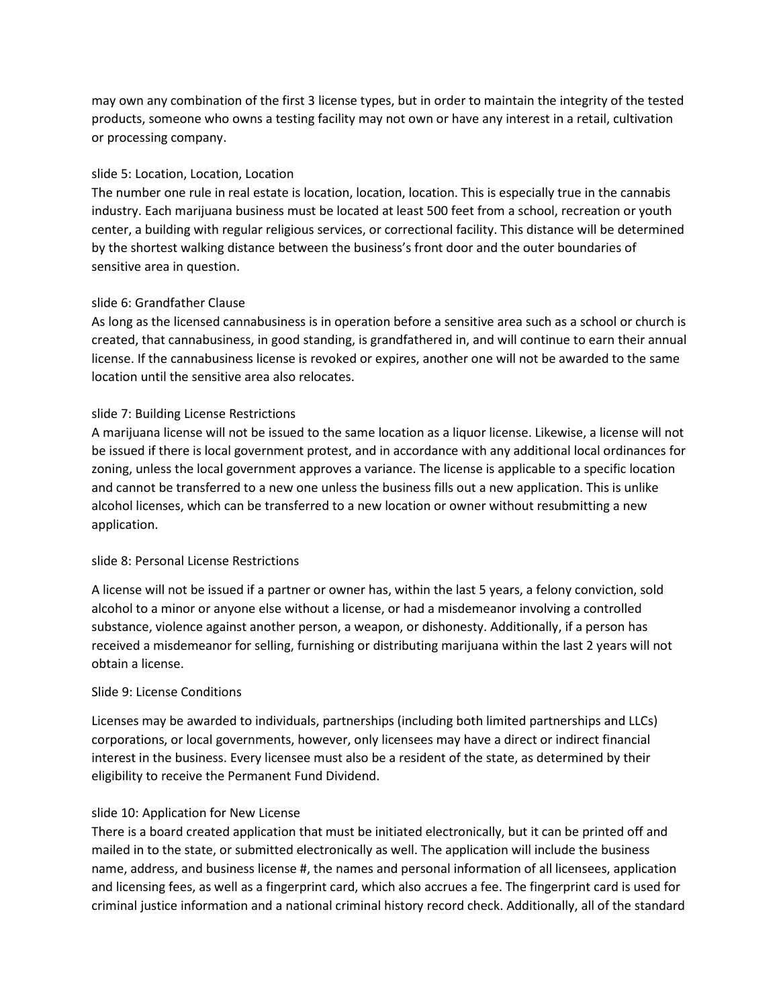may own any combination of the first 3 license types, but in order to maintain the integrity of the tested products, someone who owns a testing facility may not own or have any interest in a retail, cultivation or processing company.

# slide 5: Location, Location, Location

The number one rule in real estate is location, location, location. This is especially true in the cannabis industry. Each marijuana business must be located at least 500 feet from a school, recreation or youth center, a building with regular religious services, or correctional facility. This distance will be determined by the shortest walking distance between the business's front door and the outer boundaries of sensitive area in question.

# slide 6: Grandfather Clause

As long as the licensed cannabusiness is in operation before a sensitive area such as a school or church is created, that cannabusiness, in good standing, is grandfathered in, and will continue to earn their annual license. If the cannabusiness license is revoked or expires, another one will not be awarded to the same location until the sensitive area also relocates.

# slide 7: Building License Restrictions

A marijuana license will not be issued to the same location as a liquor license. Likewise, a license will not be issued if there is local government protest, and in accordance with any additional local ordinances for zoning, unless the local government approves a variance. The license is applicable to a specific location and cannot be transferred to a new one unless the business fills out a new application. This is unlike alcohol licenses, which can be transferred to a new location or owner without resubmitting a new application.

# slide 8: Personal License Restrictions

A license will not be issued if a partner or owner has, within the last 5 years, a felony conviction, sold alcohol to a minor or anyone else without a license, or had a misdemeanor involving a controlled substance, violence against another person, a weapon, or dishonesty. Additionally, if a person has received a misdemeanor for selling, furnishing or distributing marijuana within the last 2 years will not obtain a license.

# Slide 9: License Conditions

Licenses may be awarded to individuals, partnerships (including both limited partnerships and LLCs) corporations, or local governments, however, only licensees may have a direct or indirect financial interest in the business. Every licensee must also be a resident of the state, as determined by their eligibility to receive the Permanent Fund Dividend.

# slide 10: Application for New License

There is a board created application that must be initiated electronically, but it can be printed off and mailed in to the state, or submitted electronically as well. The application will include the business name, address, and business license #, the names and personal information of all licensees, application and licensing fees, as well as a fingerprint card, which also accrues a fee. The fingerprint card is used for criminal justice information and a national criminal history record check. Additionally, all of the standard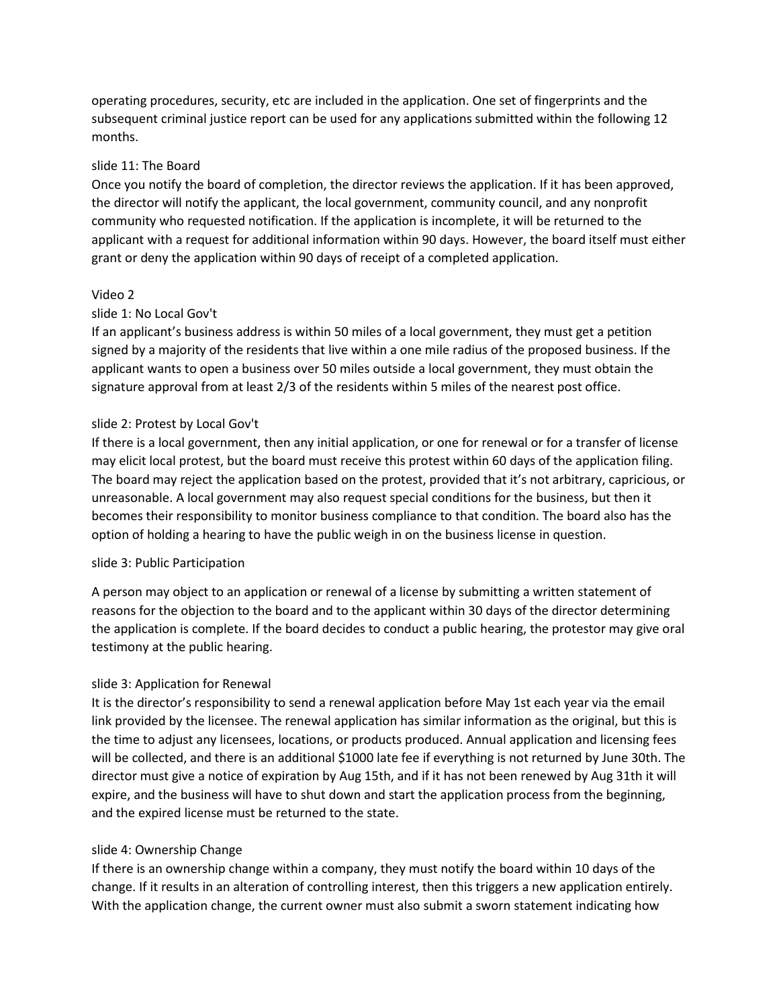operating procedures, security, etc are included in the application. One set of fingerprints and the subsequent criminal justice report can be used for any applications submitted within the following 12 months.

# slide 11: The Board

Once you notify the board of completion, the director reviews the application. If it has been approved, the director will notify the applicant, the local government, community council, and any nonprofit community who requested notification. If the application is incomplete, it will be returned to the applicant with a request for additional information within 90 days. However, the board itself must either grant or deny the application within 90 days of receipt of a completed application.

# Video 2

# slide 1: No Local Gov't

If an applicant's business address is within 50 miles of a local government, they must get a petition signed by a majority of the residents that live within a one mile radius of the proposed business. If the applicant wants to open a business over 50 miles outside a local government, they must obtain the signature approval from at least 2/3 of the residents within 5 miles of the nearest post office.

# slide 2: Protest by Local Gov't

If there is a local government, then any initial application, or one for renewal or for a transfer of license may elicit local protest, but the board must receive this protest within 60 days of the application filing. The board may reject the application based on the protest, provided that it's not arbitrary, capricious, or unreasonable. A local government may also request special conditions for the business, but then it becomes their responsibility to monitor business compliance to that condition. The board also has the option of holding a hearing to have the public weigh in on the business license in question.

# slide 3: Public Participation

A person may object to an application or renewal of a license by submitting a written statement of reasons for the objection to the board and to the applicant within 30 days of the director determining the application is complete. If the board decides to conduct a public hearing, the protestor may give oral testimony at the public hearing.

# slide 3: Application for Renewal

It is the director's responsibility to send a renewal application before May 1st each year via the email link provided by the licensee. The renewal application has similar information as the original, but this is the time to adjust any licensees, locations, or products produced. Annual application and licensing fees will be collected, and there is an additional \$1000 late fee if everything is not returned by June 30th. The director must give a notice of expiration by Aug 15th, and if it has not been renewed by Aug 31th it will expire, and the business will have to shut down and start the application process from the beginning, and the expired license must be returned to the state.

# slide 4: Ownership Change

If there is an ownership change within a company, they must notify the board within 10 days of the change. If it results in an alteration of controlling interest, then this triggers a new application entirely. With the application change, the current owner must also submit a sworn statement indicating how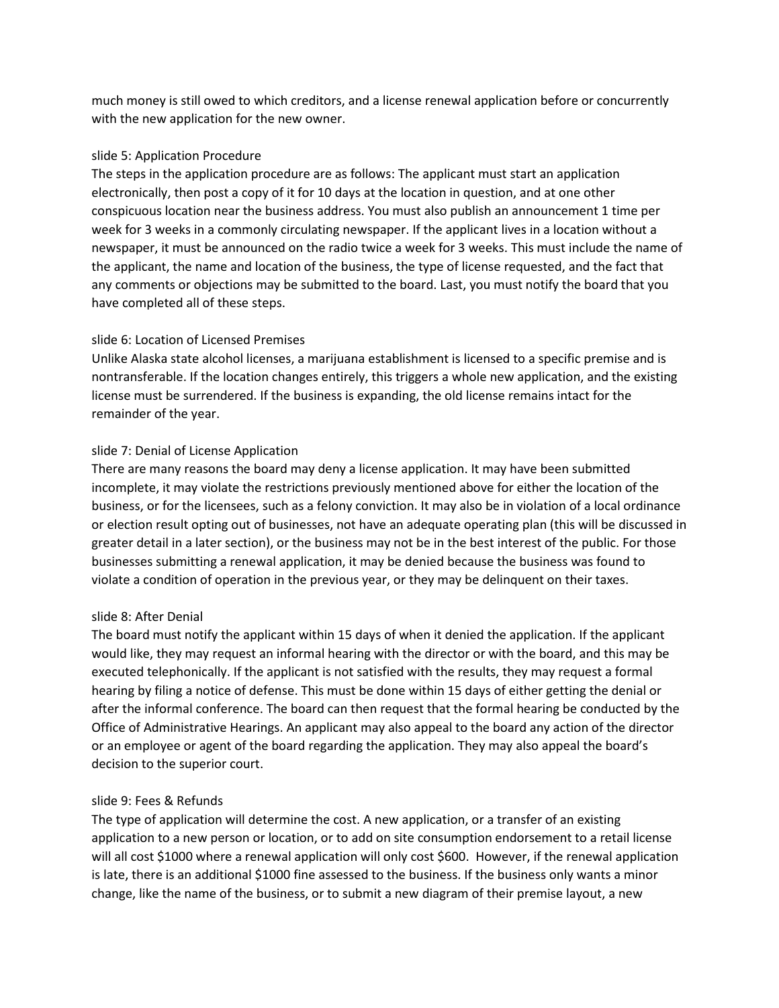much money is still owed to which creditors, and a license renewal application before or concurrently with the new application for the new owner.

# slide 5: Application Procedure

The steps in the application procedure are as follows: The applicant must start an application electronically, then post a copy of it for 10 days at the location in question, and at one other conspicuous location near the business address. You must also publish an announcement 1 time per week for 3 weeks in a commonly circulating newspaper. If the applicant lives in a location without a newspaper, it must be announced on the radio twice a week for 3 weeks. This must include the name of the applicant, the name and location of the business, the type of license requested, and the fact that any comments or objections may be submitted to the board. Last, you must notify the board that you have completed all of these steps.

# slide 6: Location of Licensed Premises

Unlike Alaska state alcohol licenses, a marijuana establishment is licensed to a specific premise and is nontransferable. If the location changes entirely, this triggers a whole new application, and the existing license must be surrendered. If the business is expanding, the old license remains intact for the remainder of the year.

# slide 7: Denial of License Application

There are many reasons the board may deny a license application. It may have been submitted incomplete, it may violate the restrictions previously mentioned above for either the location of the business, or for the licensees, such as a felony conviction. It may also be in violation of a local ordinance or election result opting out of businesses, not have an adequate operating plan (this will be discussed in greater detail in a later section), or the business may not be in the best interest of the public. For those businesses submitting a renewal application, it may be denied because the business was found to violate a condition of operation in the previous year, or they may be delinquent on their taxes.

# slide 8: After Denial

The board must notify the applicant within 15 days of when it denied the application. If the applicant would like, they may request an informal hearing with the director or with the board, and this may be executed telephonically. If the applicant is not satisfied with the results, they may request a formal hearing by filing a notice of defense. This must be done within 15 days of either getting the denial or after the informal conference. The board can then request that the formal hearing be conducted by the Office of Administrative Hearings. An applicant may also appeal to the board any action of the director or an employee or agent of the board regarding the application. They may also appeal the board's decision to the superior court.

# slide 9: Fees & Refunds

The type of application will determine the cost. A new application, or a transfer of an existing application to a new person or location, or to add on site consumption endorsement to a retail license will all cost \$1000 where a renewal application will only cost \$600. However, if the renewal application is late, there is an additional \$1000 fine assessed to the business. If the business only wants a minor change, like the name of the business, or to submit a new diagram of their premise layout, a new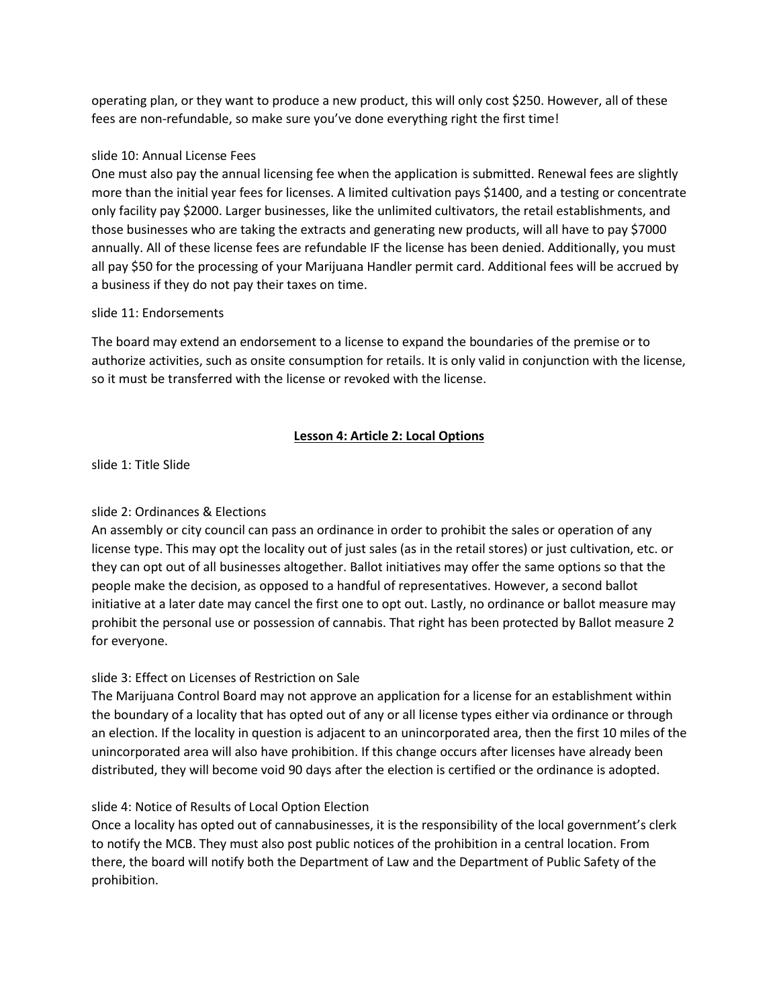operating plan, or they want to produce a new product, this will only cost \$250. However, all of these fees are non-refundable, so make sure you've done everything right the first time!

# slide 10: Annual License Fees

One must also pay the annual licensing fee when the application is submitted. Renewal fees are slightly more than the initial year fees for licenses. A limited cultivation pays \$1400, and a testing or concentrate only facility pay \$2000. Larger businesses, like the unlimited cultivators, the retail establishments, and those businesses who are taking the extracts and generating new products, will all have to pay \$7000 annually. All of these license fees are refundable IF the license has been denied. Additionally, you must all pay \$50 for the processing of your Marijuana Handler permit card. Additional fees will be accrued by a business if they do not pay their taxes on time.

# slide 11: Endorsements

The board may extend an endorsement to a license to expand the boundaries of the premise or to authorize activities, such as onsite consumption for retails. It is only valid in conjunction with the license, so it must be transferred with the license or revoked with the license.

# **Lesson 4: Article 2: Local Options**

slide 1: Title Slide

# slide 2: Ordinances & Elections

An assembly or city council can pass an ordinance in order to prohibit the sales or operation of any license type. This may opt the locality out of just sales (as in the retail stores) or just cultivation, etc. or they can opt out of all businesses altogether. Ballot initiatives may offer the same options so that the people make the decision, as opposed to a handful of representatives. However, a second ballot initiative at a later date may cancel the first one to opt out. Lastly, no ordinance or ballot measure may prohibit the personal use or possession of cannabis. That right has been protected by Ballot measure 2 for everyone.

# slide 3: Effect on Licenses of Restriction on Sale

The Marijuana Control Board may not approve an application for a license for an establishment within the boundary of a locality that has opted out of any or all license types either via ordinance or through an election. If the locality in question is adjacent to an unincorporated area, then the first 10 miles of the unincorporated area will also have prohibition. If this change occurs after licenses have already been distributed, they will become void 90 days after the election is certified or the ordinance is adopted.

# slide 4: Notice of Results of Local Option Election

Once a locality has opted out of cannabusinesses, it is the responsibility of the local government's clerk to notify the MCB. They must also post public notices of the prohibition in a central location. From there, the board will notify both the Department of Law and the Department of Public Safety of the prohibition.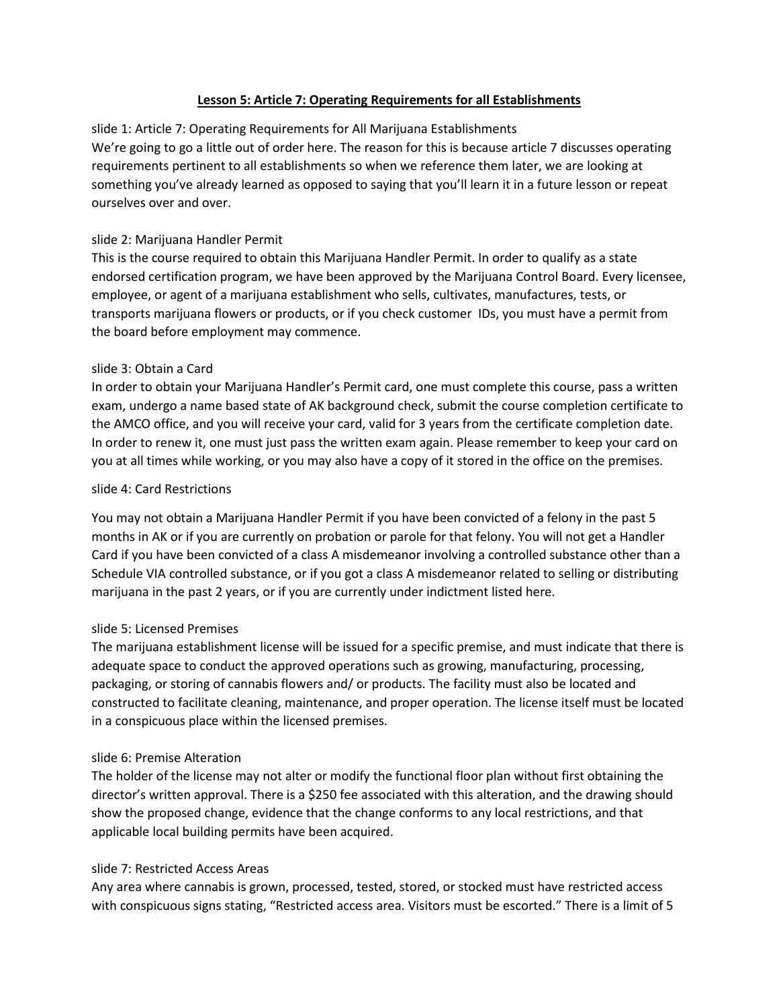# **Lesson 5: Article 7: Operating Requirements for all Establishments**

slide 1: Article 7: Operating Requirements for All Marijuana Establishments We're going to go a little out of order here. The reason for this is because article 7 discusses operating requirements pertinent to all establishments so when we reference them later, we are looking at something you've already learned as opposed to saying that you'll learn it in a future lesson or repeat ourselves over and over.

# slide 2: Marijuana Handler Permit

This is the course required to obtain this Marijuana Handler Permit. In order to qualify as a state endorsed certification program, we have been approved by the Marijuana Control Board. Every licensee, employee, or agent of a marijuana establishment who sells, cultivates, manufactures, tests, or transports marijuana flowers or products, or if you check customer IDs, you must have a permit from the board before employment may commence.

# slide 3: Obtain a Card

In order to obtain your Marijuana Handler's Permit card, one must complete this course, pass a written exam, undergo a name based state of AK background check, submit the course completion certificate to the AMCO office, and you will receive your card, valid for 3 years from the certificate completion date. In order to renew it, one must just pass the written exam again. Please remember to keep your card on you at all times while working, or you may also have a copy of it stored in the office on the premises.

# slide 4: Card Restrictions

You may not obtain a Marijuana Handler Permit if you have been convicted of a felony in the past 5 months in AK or if you are currently on probation or parole for that felony. You will not get a Handler Card if you have been convicted of a class A misdemeanor involving a controlled substance other than a Schedule VIA controlled substance, or if you got a class A misdemeanor related to selling or distributing marijuana in the past 2 years, or if you are currently under indictment listed here.

# slide 5: Licensed Premises

The marijuana establishment license will be issued for a specific premise, and must indicate that there is adequate space to conduct the approved operations such as growing, manufacturing, processing, packaging, or storing of cannabis flowers and/ or products. The facility must also be located and constructed to facilitate cleaning, maintenance, and proper operation. The license itself must be located in a conspicuous place within the licensed premises.

# slide 6: Premise Alteration

The holder of the license may not alter or modify the functional floor plan without first obtaining the director's written approval. There is a \$250 fee associated with this alteration, and the drawing should show the proposed change, evidence that the change conforms to any local restrictions, and that applicable local building permits have been acquired.

# slide 7: Restricted Access Areas

Any area where cannabis is grown, processed, tested, stored, or stocked must have restricted access with conspicuous signs stating, "Restricted access area. Visitors must be escorted." There is a limit of 5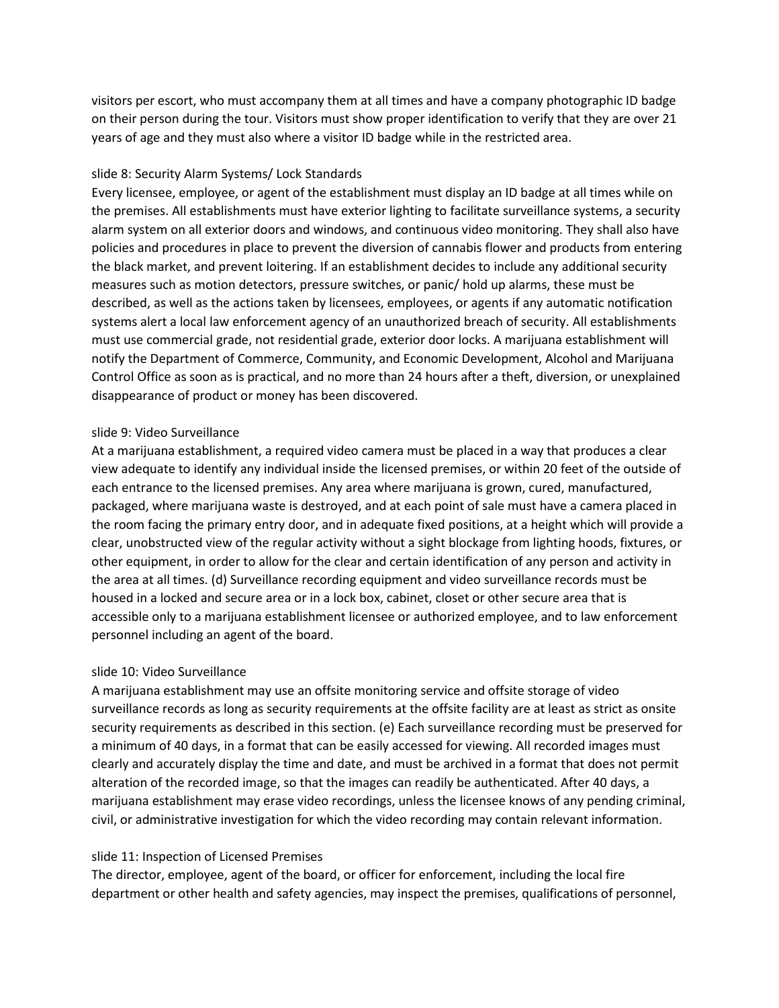visitors per escort, who must accompany them at all times and have a company photographic ID badge on their person during the tour. Visitors must show proper identification to verify that they are over 21 years of age and they must also where a visitor ID badge while in the restricted area.

# slide 8: Security Alarm Systems/ Lock Standards

Every licensee, employee, or agent of the establishment must display an ID badge at all times while on the premises. All establishments must have exterior lighting to facilitate surveillance systems, a security alarm system on all exterior doors and windows, and continuous video monitoring. They shall also have policies and procedures in place to prevent the diversion of cannabis flower and products from entering the black market, and prevent loitering. If an establishment decides to include any additional security measures such as motion detectors, pressure switches, or panic/ hold up alarms, these must be described, as well as the actions taken by licensees, employees, or agents if any automatic notification systems alert a local law enforcement agency of an unauthorized breach of security. All establishments must use commercial grade, not residential grade, exterior door locks. A marijuana establishment will notify the Department of Commerce, Community, and Economic Development, Alcohol and Marijuana Control Office as soon as is practical, and no more than 24 hours after a theft, diversion, or unexplained disappearance of product or money has been discovered.

# slide 9: Video Surveillance

At a marijuana establishment, a required video camera must be placed in a way that produces a clear view adequate to identify any individual inside the licensed premises, or within 20 feet of the outside of each entrance to the licensed premises. Any area where marijuana is grown, cured, manufactured, packaged, where marijuana waste is destroyed, and at each point of sale must have a camera placed in the room facing the primary entry door, and in adequate fixed positions, at a height which will provide a clear, unobstructed view of the regular activity without a sight blockage from lighting hoods, fixtures, or other equipment, in order to allow for the clear and certain identification of any person and activity in the area at all times. (d) Surveillance recording equipment and video surveillance records must be housed in a locked and secure area or in a lock box, cabinet, closet or other secure area that is accessible only to a marijuana establishment licensee or authorized employee, and to law enforcement personnel including an agent of the board.

# slide 10: Video Surveillance

A marijuana establishment may use an offsite monitoring service and offsite storage of video surveillance records as long as security requirements at the offsite facility are at least as strict as onsite security requirements as described in this section. (e) Each surveillance recording must be preserved for a minimum of 40 days, in a format that can be easily accessed for viewing. All recorded images must clearly and accurately display the time and date, and must be archived in a format that does not permit alteration of the recorded image, so that the images can readily be authenticated. After 40 days, a marijuana establishment may erase video recordings, unless the licensee knows of any pending criminal, civil, or administrative investigation for which the video recording may contain relevant information.

# slide 11: Inspection of Licensed Premises

The director, employee, agent of the board, or officer for enforcement, including the local fire department or other health and safety agencies, may inspect the premises, qualifications of personnel,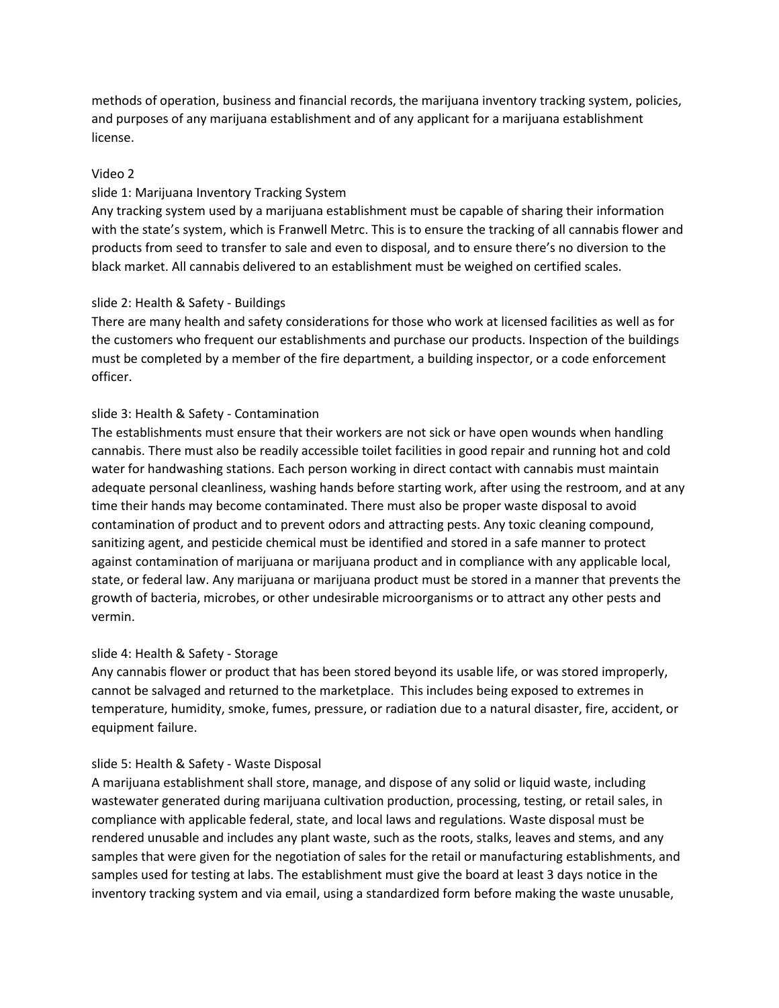methods of operation, business and financial records, the marijuana inventory tracking system, policies, and purposes of any marijuana establishment and of any applicant for a marijuana establishment license.

### Video 2

### slide 1: Marijuana Inventory Tracking System

Any tracking system used by a marijuana establishment must be capable of sharing their information with the state's system, which is Franwell Metrc. This is to ensure the tracking of all cannabis flower and products from seed to transfer to sale and even to disposal, and to ensure there's no diversion to the black market. All cannabis delivered to an establishment must be weighed on certified scales.

### slide 2: Health & Safety - Buildings

There are many health and safety considerations for those who work at licensed facilities as well as for the customers who frequent our establishments and purchase our products. Inspection of the buildings must be completed by a member of the fire department, a building inspector, or a code enforcement officer.

### slide 3: Health & Safety - Contamination

The establishments must ensure that their workers are not sick or have open wounds when handling cannabis. There must also be readily accessible toilet facilities in good repair and running hot and cold water for handwashing stations. Each person working in direct contact with cannabis must maintain adequate personal cleanliness, washing hands before starting work, after using the restroom, and at any time their hands may become contaminated. There must also be proper waste disposal to avoid contamination of product and to prevent odors and attracting pests. Any toxic cleaning compound, sanitizing agent, and pesticide chemical must be identified and stored in a safe manner to protect against contamination of marijuana or marijuana product and in compliance with any applicable local, state, or federal law. Any marijuana or marijuana product must be stored in a manner that prevents the growth of bacteria, microbes, or other undesirable microorganisms or to attract any other pests and vermin.

#### slide 4: Health & Safety - Storage

Any cannabis flower or product that has been stored beyond its usable life, or was stored improperly, cannot be salvaged and returned to the marketplace. This includes being exposed to extremes in temperature, humidity, smoke, fumes, pressure, or radiation due to a natural disaster, fire, accident, or equipment failure.

#### slide 5: Health & Safety - Waste Disposal

A marijuana establishment shall store, manage, and dispose of any solid or liquid waste, including wastewater generated during marijuana cultivation production, processing, testing, or retail sales, in compliance with applicable federal, state, and local laws and regulations. Waste disposal must be rendered unusable and includes any plant waste, such as the roots, stalks, leaves and stems, and any samples that were given for the negotiation of sales for the retail or manufacturing establishments, and samples used for testing at labs. The establishment must give the board at least 3 days notice in the inventory tracking system and via email, using a standardized form before making the waste unusable,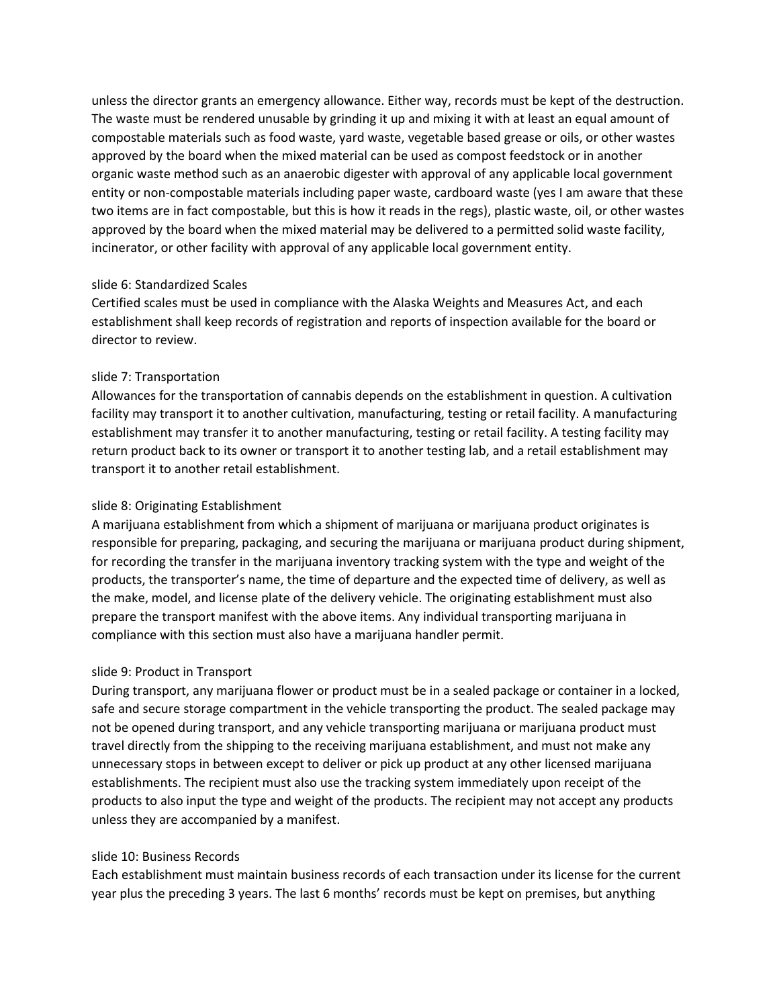unless the director grants an emergency allowance. Either way, records must be kept of the destruction. The waste must be rendered unusable by grinding it up and mixing it with at least an equal amount of compostable materials such as food waste, yard waste, vegetable based grease or oils, or other wastes approved by the board when the mixed material can be used as compost feedstock or in another organic waste method such as an anaerobic digester with approval of any applicable local government entity or non-compostable materials including paper waste, cardboard waste (yes I am aware that these two items are in fact compostable, but this is how it reads in the regs), plastic waste, oil, or other wastes approved by the board when the mixed material may be delivered to a permitted solid waste facility, incinerator, or other facility with approval of any applicable local government entity.

### slide 6: Standardized Scales

Certified scales must be used in compliance with the Alaska Weights and Measures Act, and each establishment shall keep records of registration and reports of inspection available for the board or director to review.

### slide 7: Transportation

Allowances for the transportation of cannabis depends on the establishment in question. A cultivation facility may transport it to another cultivation, manufacturing, testing or retail facility. A manufacturing establishment may transfer it to another manufacturing, testing or retail facility. A testing facility may return product back to its owner or transport it to another testing lab, and a retail establishment may transport it to another retail establishment.

### slide 8: Originating Establishment

A marijuana establishment from which a shipment of marijuana or marijuana product originates is responsible for preparing, packaging, and securing the marijuana or marijuana product during shipment, for recording the transfer in the marijuana inventory tracking system with the type and weight of the products, the transporter's name, the time of departure and the expected time of delivery, as well as the make, model, and license plate of the delivery vehicle. The originating establishment must also prepare the transport manifest with the above items. Any individual transporting marijuana in compliance with this section must also have a marijuana handler permit.

# slide 9: Product in Transport

During transport, any marijuana flower or product must be in a sealed package or container in a locked, safe and secure storage compartment in the vehicle transporting the product. The sealed package may not be opened during transport, and any vehicle transporting marijuana or marijuana product must travel directly from the shipping to the receiving marijuana establishment, and must not make any unnecessary stops in between except to deliver or pick up product at any other licensed marijuana establishments. The recipient must also use the tracking system immediately upon receipt of the products to also input the type and weight of the products. The recipient may not accept any products unless they are accompanied by a manifest.

#### slide 10: Business Records

Each establishment must maintain business records of each transaction under its license for the current year plus the preceding 3 years. The last 6 months' records must be kept on premises, but anything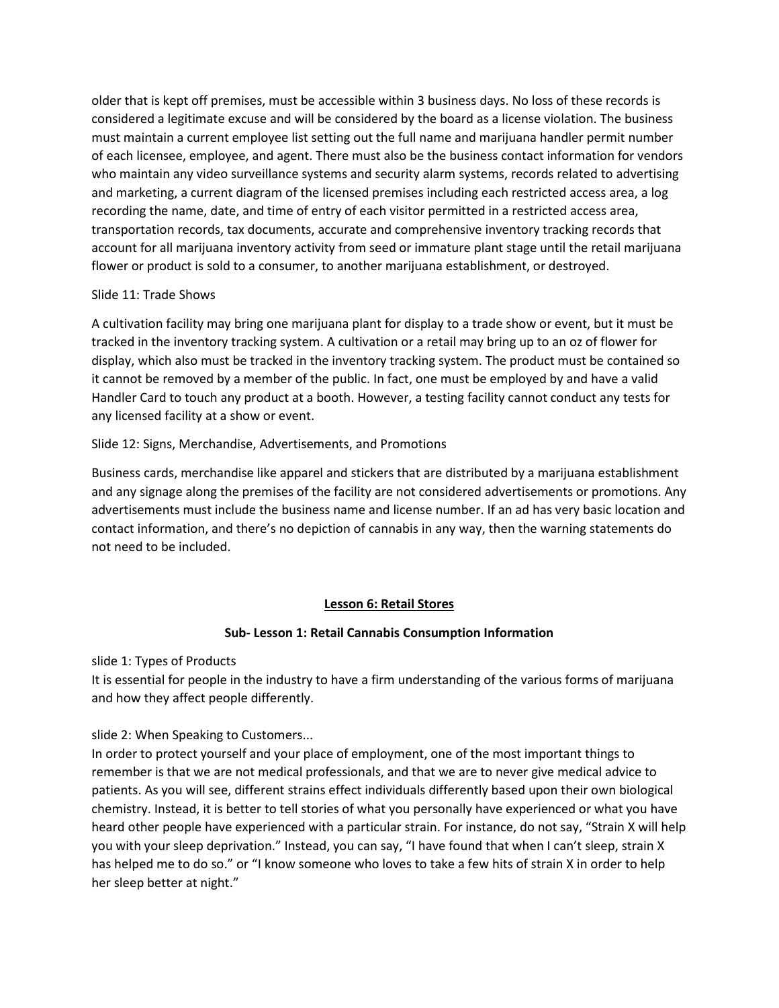older that is kept off premises, must be accessible within 3 business days. No loss of these records is considered a legitimate excuse and will be considered by the board as a license violation. The business must maintain a current employee list setting out the full name and marijuana handler permit number of each licensee, employee, and agent. There must also be the business contact information for vendors who maintain any video surveillance systems and security alarm systems, records related to advertising and marketing, a current diagram of the licensed premises including each restricted access area, a log recording the name, date, and time of entry of each visitor permitted in a restricted access area, transportation records, tax documents, accurate and comprehensive inventory tracking records that account for all marijuana inventory activity from seed or immature plant stage until the retail marijuana flower or product is sold to a consumer, to another marijuana establishment, or destroyed.

# Slide 11: Trade Shows

A cultivation facility may bring one marijuana plant for display to a trade show or event, but it must be tracked in the inventory tracking system. A cultivation or a retail may bring up to an oz of flower for display, which also must be tracked in the inventory tracking system. The product must be contained so it cannot be removed by a member of the public. In fact, one must be employed by and have a valid Handler Card to touch any product at a booth. However, a testing facility cannot conduct any tests for any licensed facility at a show or event.

# Slide 12: Signs, Merchandise, Advertisements, and Promotions

Business cards, merchandise like apparel and stickers that are distributed by a marijuana establishment and any signage along the premises of the facility are not considered advertisements or promotions. Any advertisements must include the business name and license number. If an ad has very basic location and contact information, and there's no depiction of cannabis in any way, then the warning statements do not need to be included.

# **Lesson 6: Retail Stores**

# **Sub- Lesson 1: Retail Cannabis Consumption Information**

slide 1: Types of Products

It is essential for people in the industry to have a firm understanding of the various forms of marijuana and how they affect people differently.

slide 2: When Speaking to Customers...

In order to protect yourself and your place of employment, one of the most important things to remember is that we are not medical professionals, and that we are to never give medical advice to patients. As you will see, different strains effect individuals differently based upon their own biological chemistry. Instead, it is better to tell stories of what you personally have experienced or what you have heard other people have experienced with a particular strain. For instance, do not say, "Strain X will help you with your sleep deprivation." Instead, you can say, "I have found that when I can't sleep, strain X has helped me to do so." or "I know someone who loves to take a few hits of strain X in order to help her sleep better at night."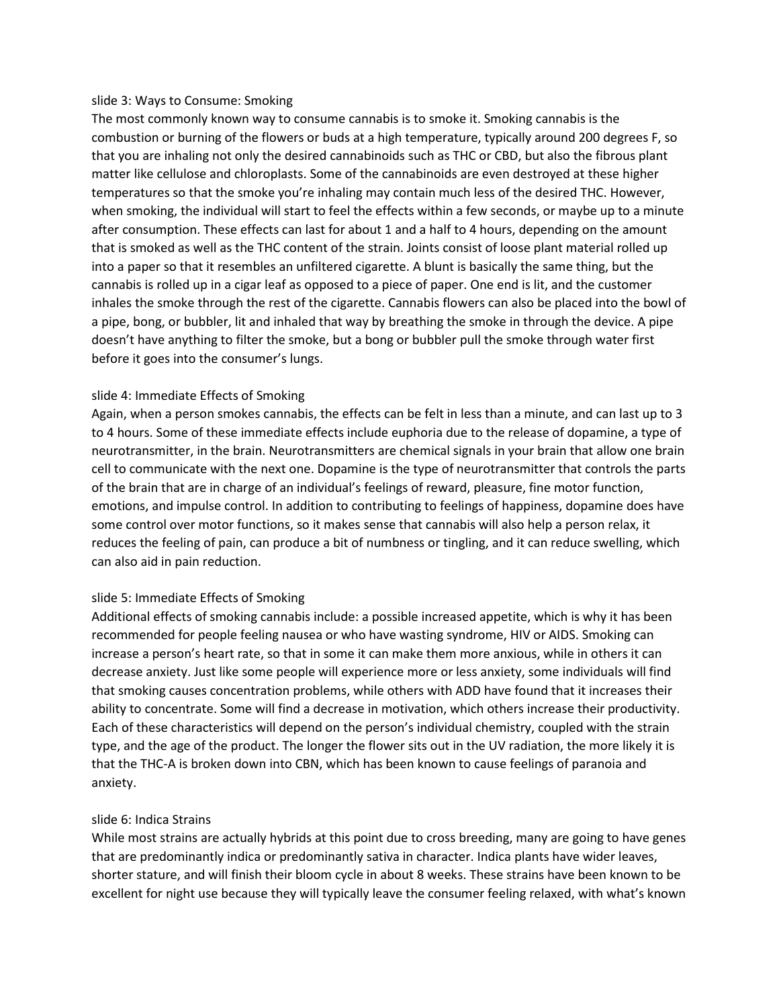#### slide 3: Ways to Consume: Smoking

The most commonly known way to consume cannabis is to smoke it. Smoking cannabis is the combustion or burning of the flowers or buds at a high temperature, typically around 200 degrees F, so that you are inhaling not only the desired cannabinoids such as THC or CBD, but also the fibrous plant matter like cellulose and chloroplasts. Some of the cannabinoids are even destroyed at these higher temperatures so that the smoke you're inhaling may contain much less of the desired THC. However, when smoking, the individual will start to feel the effects within a few seconds, or maybe up to a minute after consumption. These effects can last for about 1 and a half to 4 hours, depending on the amount that is smoked as well as the THC content of the strain. Joints consist of loose plant material rolled up into a paper so that it resembles an unfiltered cigarette. A blunt is basically the same thing, but the cannabis is rolled up in a cigar leaf as opposed to a piece of paper. One end is lit, and the customer inhales the smoke through the rest of the cigarette. Cannabis flowers can also be placed into the bowl of a pipe, bong, or bubbler, lit and inhaled that way by breathing the smoke in through the device. A pipe doesn't have anything to filter the smoke, but a bong or bubbler pull the smoke through water first before it goes into the consumer's lungs.

# slide 4: Immediate Effects of Smoking

Again, when a person smokes cannabis, the effects can be felt in less than a minute, and can last up to 3 to 4 hours. Some of these immediate effects include euphoria due to the release of dopamine, a type of neurotransmitter, in the brain. Neurotransmitters are chemical signals in your brain that allow one brain cell to communicate with the next one. Dopamine is the type of neurotransmitter that controls the parts of the brain that are in charge of an individual's feelings of reward, pleasure, fine motor function, emotions, and impulse control. In addition to contributing to feelings of happiness, dopamine does have some control over motor functions, so it makes sense that cannabis will also help a person relax, it reduces the feeling of pain, can produce a bit of numbness or tingling, and it can reduce swelling, which can also aid in pain reduction.

# slide 5: Immediate Effects of Smoking

Additional effects of smoking cannabis include: a possible increased appetite, which is why it has been recommended for people feeling nausea or who have wasting syndrome, HIV or AIDS. Smoking can increase a person's heart rate, so that in some it can make them more anxious, while in others it can decrease anxiety. Just like some people will experience more or less anxiety, some individuals will find that smoking causes concentration problems, while others with ADD have found that it increases their ability to concentrate. Some will find a decrease in motivation, which others increase their productivity. Each of these characteristics will depend on the person's individual chemistry, coupled with the strain type, and the age of the product. The longer the flower sits out in the UV radiation, the more likely it is that the THC-A is broken down into CBN, which has been known to cause feelings of paranoia and anxiety.

# slide 6: Indica Strains

While most strains are actually hybrids at this point due to cross breeding, many are going to have genes that are predominantly indica or predominantly sativa in character. Indica plants have wider leaves, shorter stature, and will finish their bloom cycle in about 8 weeks. These strains have been known to be excellent for night use because they will typically leave the consumer feeling relaxed, with what's known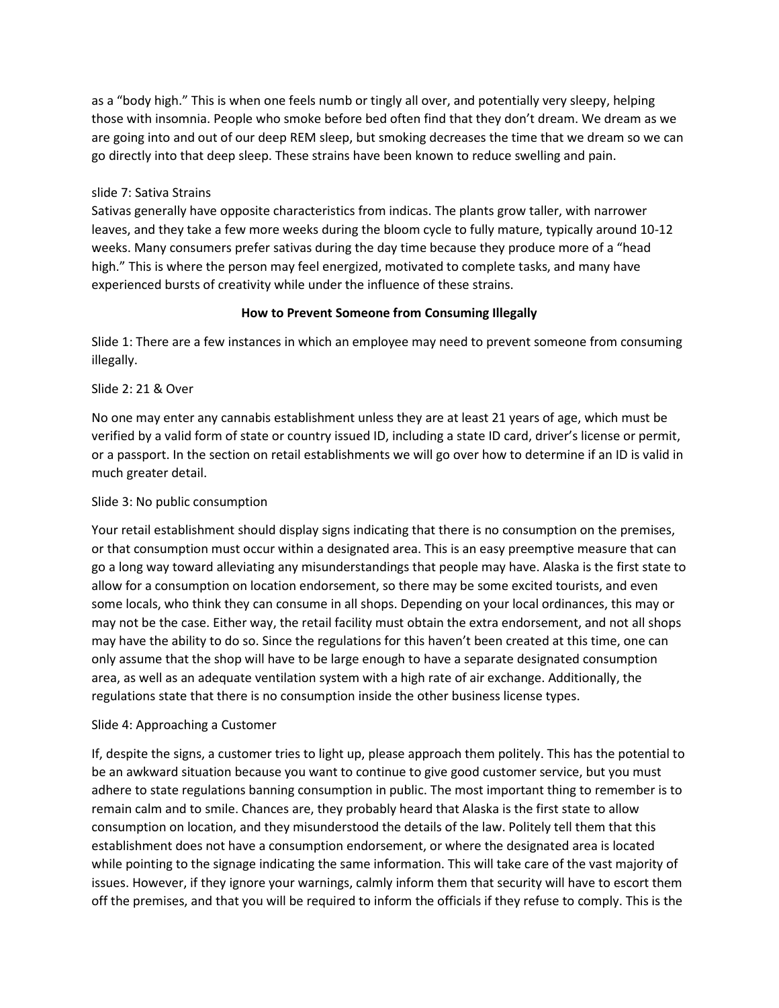as a "body high." This is when one feels numb or tingly all over, and potentially very sleepy, helping those with insomnia. People who smoke before bed often find that they don't dream. We dream as we are going into and out of our deep REM sleep, but smoking decreases the time that we dream so we can go directly into that deep sleep. These strains have been known to reduce swelling and pain.

# slide 7: Sativa Strains

Sativas generally have opposite characteristics from indicas. The plants grow taller, with narrower leaves, and they take a few more weeks during the bloom cycle to fully mature, typically around 10-12 weeks. Many consumers prefer sativas during the day time because they produce more of a "head high." This is where the person may feel energized, motivated to complete tasks, and many have experienced bursts of creativity while under the influence of these strains.

# **How to Prevent Someone from Consuming Illegally**

Slide 1: There are a few instances in which an employee may need to prevent someone from consuming illegally.

### Slide 2: 21 & Over

No one may enter any cannabis establishment unless they are at least 21 years of age, which must be verified by a valid form of state or country issued ID, including a state ID card, driver's license or permit, or a passport. In the section on retail establishments we will go over how to determine if an ID is valid in much greater detail.

### Slide 3: No public consumption

Your retail establishment should display signs indicating that there is no consumption on the premises, or that consumption must occur within a designated area. This is an easy preemptive measure that can go a long way toward alleviating any misunderstandings that people may have. Alaska is the first state to allow for a consumption on location endorsement, so there may be some excited tourists, and even some locals, who think they can consume in all shops. Depending on your local ordinances, this may or may not be the case. Either way, the retail facility must obtain the extra endorsement, and not all shops may have the ability to do so. Since the regulations for this haven't been created at this time, one can only assume that the shop will have to be large enough to have a separate designated consumption area, as well as an adequate ventilation system with a high rate of air exchange. Additionally, the regulations state that there is no consumption inside the other business license types.

# Slide 4: Approaching a Customer

If, despite the signs, a customer tries to light up, please approach them politely. This has the potential to be an awkward situation because you want to continue to give good customer service, but you must adhere to state regulations banning consumption in public. The most important thing to remember is to remain calm and to smile. Chances are, they probably heard that Alaska is the first state to allow consumption on location, and they misunderstood the details of the law. Politely tell them that this establishment does not have a consumption endorsement, or where the designated area is located while pointing to the signage indicating the same information. This will take care of the vast majority of issues. However, if they ignore your warnings, calmly inform them that security will have to escort them off the premises, and that you will be required to inform the officials if they refuse to comply. This is the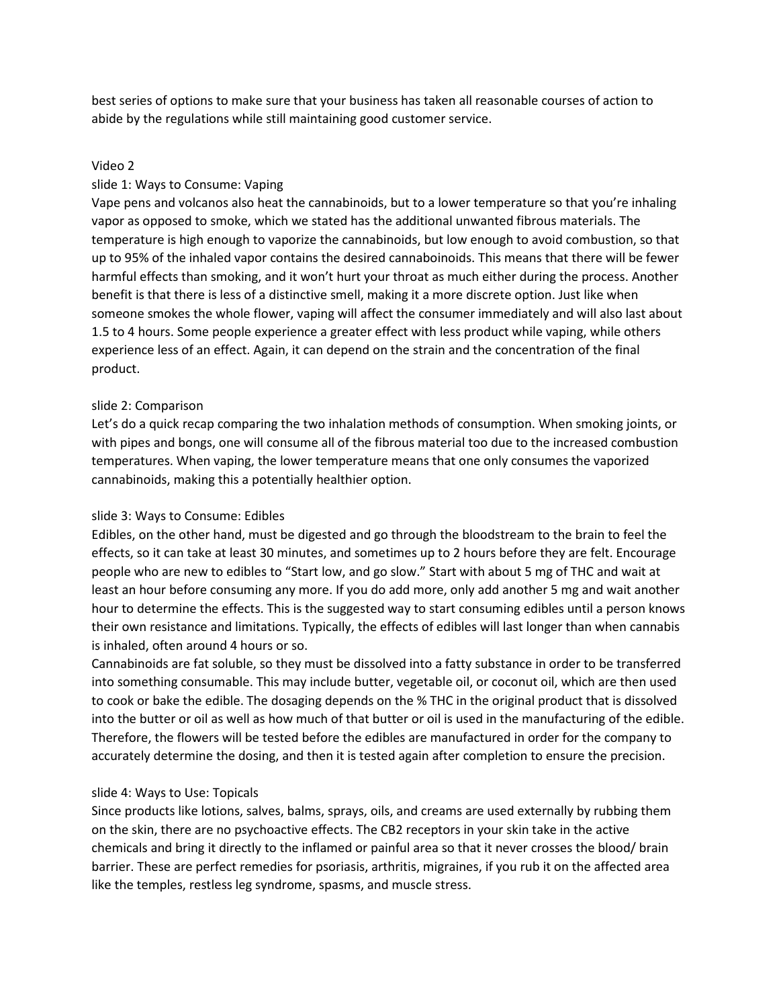best series of options to make sure that your business has taken all reasonable courses of action to abide by the regulations while still maintaining good customer service.

#### Video 2

#### slide 1: Ways to Consume: Vaping

Vape pens and volcanos also heat the cannabinoids, but to a lower temperature so that you're inhaling vapor as opposed to smoke, which we stated has the additional unwanted fibrous materials. The temperature is high enough to vaporize the cannabinoids, but low enough to avoid combustion, so that up to 95% of the inhaled vapor contains the desired cannaboinoids. This means that there will be fewer harmful effects than smoking, and it won't hurt your throat as much either during the process. Another benefit is that there is less of a distinctive smell, making it a more discrete option. Just like when someone smokes the whole flower, vaping will affect the consumer immediately and will also last about 1.5 to 4 hours. Some people experience a greater effect with less product while vaping, while others experience less of an effect. Again, it can depend on the strain and the concentration of the final product.

#### slide 2: Comparison

Let's do a quick recap comparing the two inhalation methods of consumption. When smoking joints, or with pipes and bongs, one will consume all of the fibrous material too due to the increased combustion temperatures. When vaping, the lower temperature means that one only consumes the vaporized cannabinoids, making this a potentially healthier option.

#### slide 3: Ways to Consume: Edibles

Edibles, on the other hand, must be digested and go through the bloodstream to the brain to feel the effects, so it can take at least 30 minutes, and sometimes up to 2 hours before they are felt. Encourage people who are new to edibles to "Start low, and go slow." Start with about 5 mg of THC and wait at least an hour before consuming any more. If you do add more, only add another 5 mg and wait another hour to determine the effects. This is the suggested way to start consuming edibles until a person knows their own resistance and limitations. Typically, the effects of edibles will last longer than when cannabis is inhaled, often around 4 hours or so.

Cannabinoids are fat soluble, so they must be dissolved into a fatty substance in order to be transferred into something consumable. This may include butter, vegetable oil, or coconut oil, which are then used to cook or bake the edible. The dosaging depends on the % THC in the original product that is dissolved into the butter or oil as well as how much of that butter or oil is used in the manufacturing of the edible. Therefore, the flowers will be tested before the edibles are manufactured in order for the company to accurately determine the dosing, and then it is tested again after completion to ensure the precision.

#### slide 4: Ways to Use: Topicals

Since products like lotions, salves, balms, sprays, oils, and creams are used externally by rubbing them on the skin, there are no psychoactive effects. The CB2 receptors in your skin take in the active chemicals and bring it directly to the inflamed or painful area so that it never crosses the blood/ brain barrier. These are perfect remedies for psoriasis, arthritis, migraines, if you rub it on the affected area like the temples, restless leg syndrome, spasms, and muscle stress.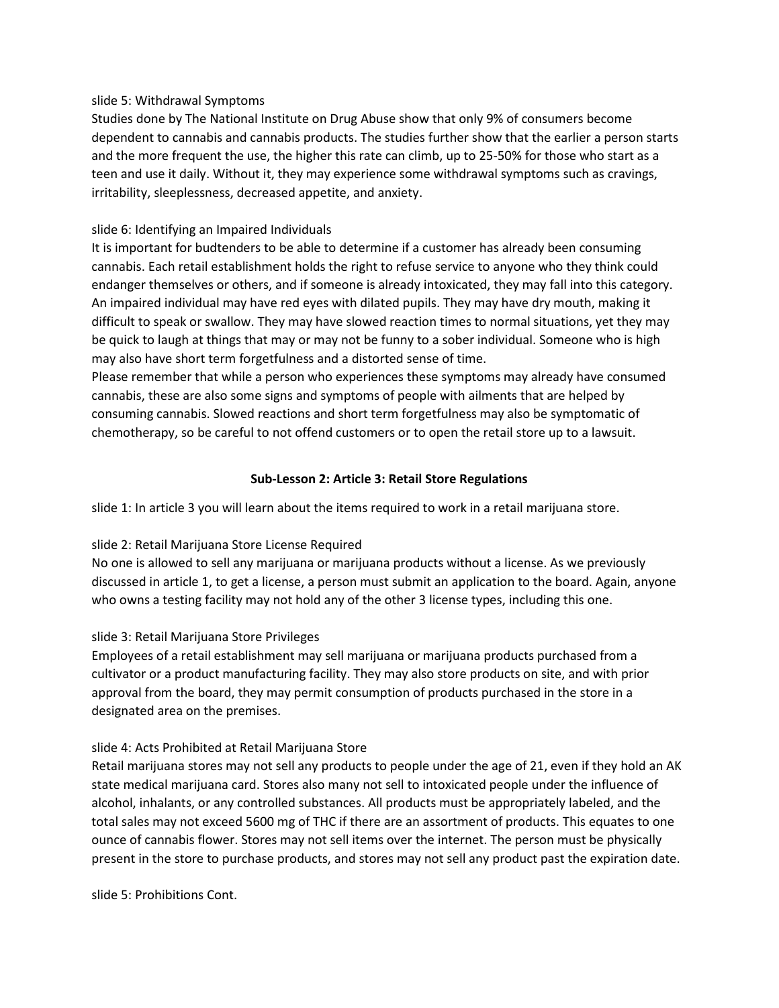### slide 5: Withdrawal Symptoms

Studies done by The National Institute on Drug Abuse show that only 9% of consumers become dependent to cannabis and cannabis products. The studies further show that the earlier a person starts and the more frequent the use, the higher this rate can climb, up to 25-50% for those who start as a teen and use it daily. Without it, they may experience some withdrawal symptoms such as cravings, irritability, sleeplessness, decreased appetite, and anxiety.

# slide 6: Identifying an Impaired Individuals

It is important for budtenders to be able to determine if a customer has already been consuming cannabis. Each retail establishment holds the right to refuse service to anyone who they think could endanger themselves or others, and if someone is already intoxicated, they may fall into this category. An impaired individual may have red eyes with dilated pupils. They may have dry mouth, making it difficult to speak or swallow. They may have slowed reaction times to normal situations, yet they may be quick to laugh at things that may or may not be funny to a sober individual. Someone who is high may also have short term forgetfulness and a distorted sense of time.

Please remember that while a person who experiences these symptoms may already have consumed cannabis, these are also some signs and symptoms of people with ailments that are helped by consuming cannabis. Slowed reactions and short term forgetfulness may also be symptomatic of chemotherapy, so be careful to not offend customers or to open the retail store up to a lawsuit.

# **Sub-Lesson 2: Article 3: Retail Store Regulations**

slide 1: In article 3 you will learn about the items required to work in a retail marijuana store.

# slide 2: Retail Marijuana Store License Required

No one is allowed to sell any marijuana or marijuana products without a license. As we previously discussed in article 1, to get a license, a person must submit an application to the board. Again, anyone who owns a testing facility may not hold any of the other 3 license types, including this one.

# slide 3: Retail Marijuana Store Privileges

Employees of a retail establishment may sell marijuana or marijuana products purchased from a cultivator or a product manufacturing facility. They may also store products on site, and with prior approval from the board, they may permit consumption of products purchased in the store in a designated area on the premises.

# slide 4: Acts Prohibited at Retail Marijuana Store

Retail marijuana stores may not sell any products to people under the age of 21, even if they hold an AK state medical marijuana card. Stores also many not sell to intoxicated people under the influence of alcohol, inhalants, or any controlled substances. All products must be appropriately labeled, and the total sales may not exceed 5600 mg of THC if there are an assortment of products. This equates to one ounce of cannabis flower. Stores may not sell items over the internet. The person must be physically present in the store to purchase products, and stores may not sell any product past the expiration date.

slide 5: Prohibitions Cont.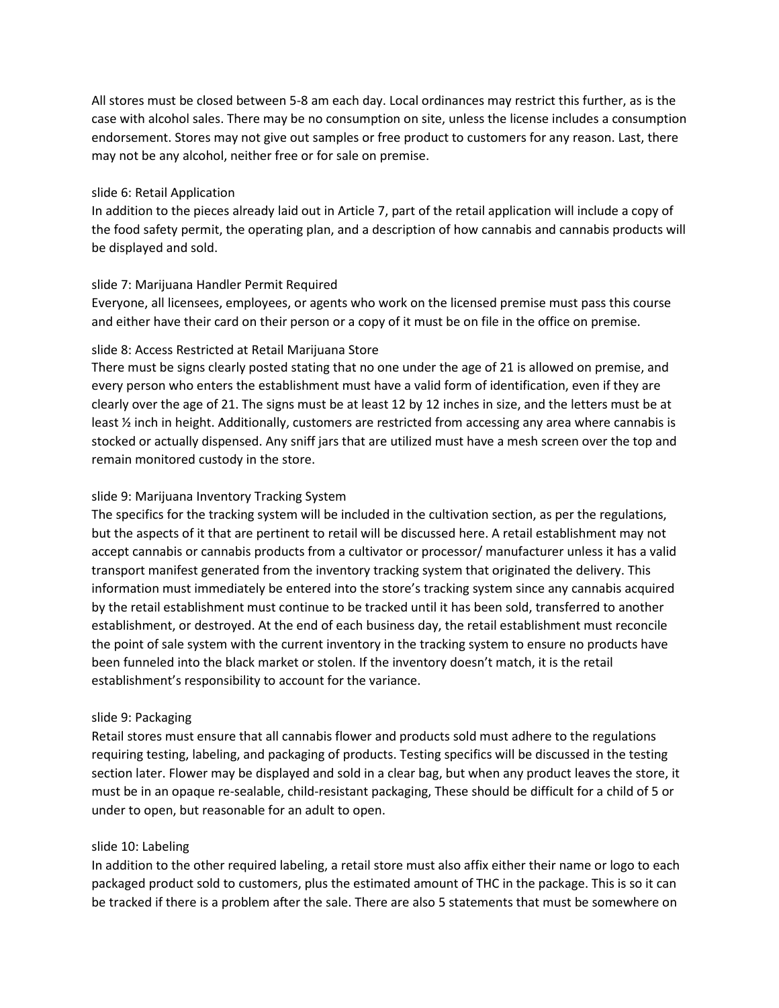All stores must be closed between 5-8 am each day. Local ordinances may restrict this further, as is the case with alcohol sales. There may be no consumption on site, unless the license includes a consumption endorsement. Stores may not give out samples or free product to customers for any reason. Last, there may not be any alcohol, neither free or for sale on premise.

### slide 6: Retail Application

In addition to the pieces already laid out in Article 7, part of the retail application will include a copy of the food safety permit, the operating plan, and a description of how cannabis and cannabis products will be displayed and sold.

### slide 7: Marijuana Handler Permit Required

Everyone, all licensees, employees, or agents who work on the licensed premise must pass this course and either have their card on their person or a copy of it must be on file in the office on premise.

# slide 8: Access Restricted at Retail Marijuana Store

There must be signs clearly posted stating that no one under the age of 21 is allowed on premise, and every person who enters the establishment must have a valid form of identification, even if they are clearly over the age of 21. The signs must be at least 12 by 12 inches in size, and the letters must be at least ½ inch in height. Additionally, customers are restricted from accessing any area where cannabis is stocked or actually dispensed. Any sniff jars that are utilized must have a mesh screen over the top and remain monitored custody in the store.

### slide 9: Marijuana Inventory Tracking System

The specifics for the tracking system will be included in the cultivation section, as per the regulations, but the aspects of it that are pertinent to retail will be discussed here. A retail establishment may not accept cannabis or cannabis products from a cultivator or processor/ manufacturer unless it has a valid transport manifest generated from the inventory tracking system that originated the delivery. This information must immediately be entered into the store's tracking system since any cannabis acquired by the retail establishment must continue to be tracked until it has been sold, transferred to another establishment, or destroyed. At the end of each business day, the retail establishment must reconcile the point of sale system with the current inventory in the tracking system to ensure no products have been funneled into the black market or stolen. If the inventory doesn't match, it is the retail establishment's responsibility to account for the variance.

#### slide 9: Packaging

Retail stores must ensure that all cannabis flower and products sold must adhere to the regulations requiring testing, labeling, and packaging of products. Testing specifics will be discussed in the testing section later. Flower may be displayed and sold in a clear bag, but when any product leaves the store, it must be in an opaque re-sealable, child-resistant packaging, These should be difficult for a child of 5 or under to open, but reasonable for an adult to open.

#### slide 10: Labeling

In addition to the other required labeling, a retail store must also affix either their name or logo to each packaged product sold to customers, plus the estimated amount of THC in the package. This is so it can be tracked if there is a problem after the sale. There are also 5 statements that must be somewhere on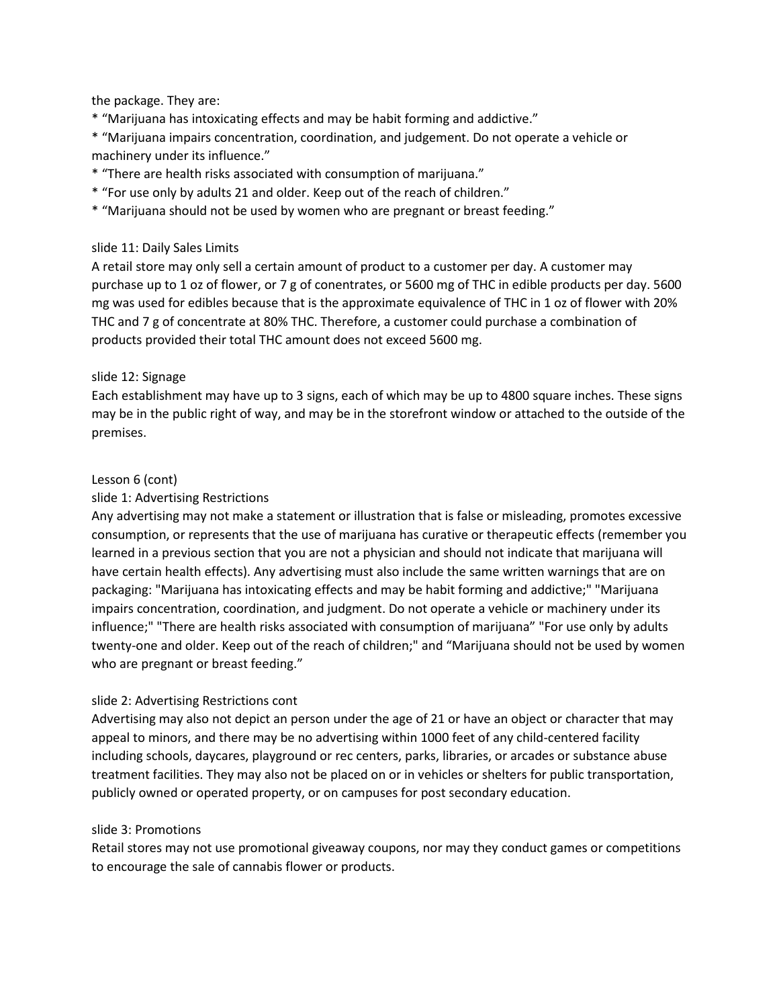the package. They are:

\* "Marijuana has intoxicating effects and may be habit forming and addictive."

\* "Marijuana impairs concentration, coordination, and judgement. Do not operate a vehicle or machinery under its influence."

- \* "There are health risks associated with consumption of marijuana."
- \* "For use only by adults 21 and older. Keep out of the reach of children."
- \* "Marijuana should not be used by women who are pregnant or breast feeding."

# slide 11: Daily Sales Limits

A retail store may only sell a certain amount of product to a customer per day. A customer may purchase up to 1 oz of flower, or 7 g of conentrates, or 5600 mg of THC in edible products per day. 5600 mg was used for edibles because that is the approximate equivalence of THC in 1 oz of flower with 20% THC and 7 g of concentrate at 80% THC. Therefore, a customer could purchase a combination of products provided their total THC amount does not exceed 5600 mg.

# slide 12: Signage

Each establishment may have up to 3 signs, each of which may be up to 4800 square inches. These signs may be in the public right of way, and may be in the storefront window or attached to the outside of the premises.

### Lesson 6 (cont)

### slide 1: Advertising Restrictions

Any advertising may not make a statement or illustration that is false or misleading, promotes excessive consumption, or represents that the use of marijuana has curative or therapeutic effects (remember you learned in a previous section that you are not a physician and should not indicate that marijuana will have certain health effects). Any advertising must also include the same written warnings that are on packaging: "Marijuana has intoxicating effects and may be habit forming and addictive;" "Marijuana impairs concentration, coordination, and judgment. Do not operate a vehicle or machinery under its influence;" "There are health risks associated with consumption of marijuana" "For use only by adults twenty-one and older. Keep out of the reach of children;" and "Marijuana should not be used by women who are pregnant or breast feeding."

# slide 2: Advertising Restrictions cont

Advertising may also not depict an person under the age of 21 or have an object or character that may appeal to minors, and there may be no advertising within 1000 feet of any child-centered facility including schools, daycares, playground or rec centers, parks, libraries, or arcades or substance abuse treatment facilities. They may also not be placed on or in vehicles or shelters for public transportation, publicly owned or operated property, or on campuses for post secondary education.

#### slide 3: Promotions

Retail stores may not use promotional giveaway coupons, nor may they conduct games or competitions to encourage the sale of cannabis flower or products.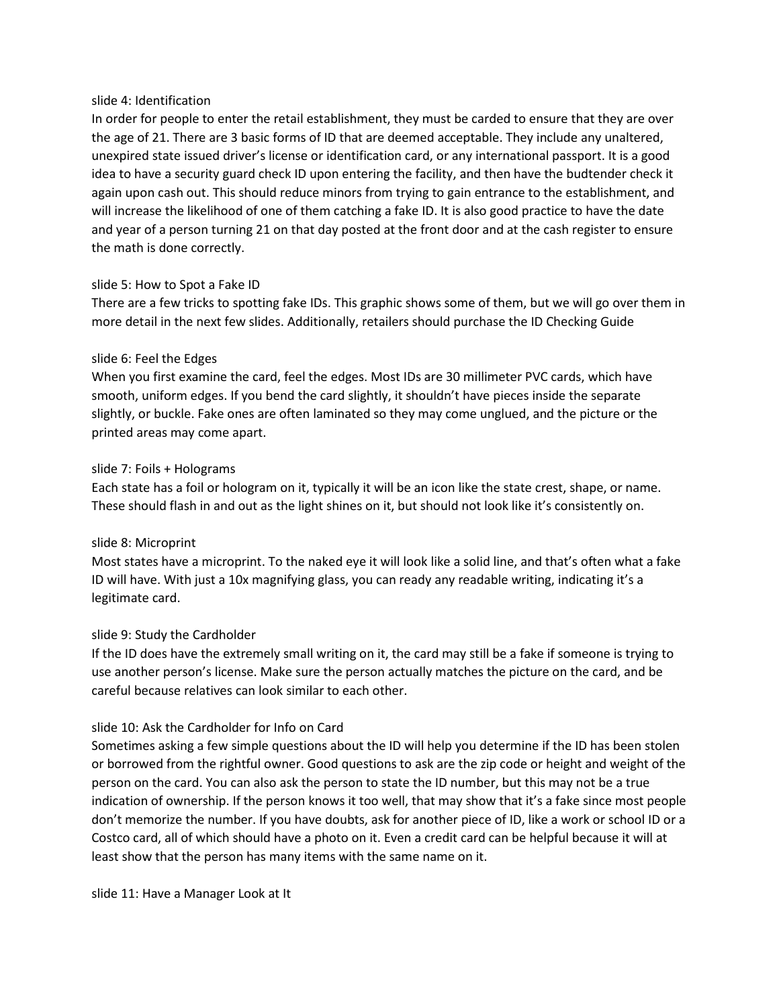### slide 4: Identification

In order for people to enter the retail establishment, they must be carded to ensure that they are over the age of 21. There are 3 basic forms of ID that are deemed acceptable. They include any unaltered, unexpired state issued driver's license or identification card, or any international passport. It is a good idea to have a security guard check ID upon entering the facility, and then have the budtender check it again upon cash out. This should reduce minors from trying to gain entrance to the establishment, and will increase the likelihood of one of them catching a fake ID. It is also good practice to have the date and year of a person turning 21 on that day posted at the front door and at the cash register to ensure the math is done correctly.

# slide 5: How to Spot a Fake ID

There are a few tricks to spotting fake IDs. This graphic shows some of them, but we will go over them in more detail in the next few slides. Additionally, retailers should purchase the ID Checking Guide

### slide 6: Feel the Edges

When you first examine the card, feel the edges. Most IDs are 30 millimeter PVC cards, which have smooth, uniform edges. If you bend the card slightly, it shouldn't have pieces inside the separate slightly, or buckle. Fake ones are often laminated so they may come unglued, and the picture or the printed areas may come apart.

### slide 7: Foils + Holograms

Each state has a foil or hologram on it, typically it will be an icon like the state crest, shape, or name. These should flash in and out as the light shines on it, but should not look like it's consistently on.

# slide 8: Microprint

Most states have a microprint. To the naked eye it will look like a solid line, and that's often what a fake ID will have. With just a 10x magnifying glass, you can ready any readable writing, indicating it's a legitimate card.

# slide 9: Study the Cardholder

If the ID does have the extremely small writing on it, the card may still be a fake if someone is trying to use another person's license. Make sure the person actually matches the picture on the card, and be careful because relatives can look similar to each other.

# slide 10: Ask the Cardholder for Info on Card

Sometimes asking a few simple questions about the ID will help you determine if the ID has been stolen or borrowed from the rightful owner. Good questions to ask are the zip code or height and weight of the person on the card. You can also ask the person to state the ID number, but this may not be a true indication of ownership. If the person knows it too well, that may show that it's a fake since most people don't memorize the number. If you have doubts, ask for another piece of ID, like a work or school ID or a Costco card, all of which should have a photo on it. Even a credit card can be helpful because it will at least show that the person has many items with the same name on it.

slide 11: Have a Manager Look at It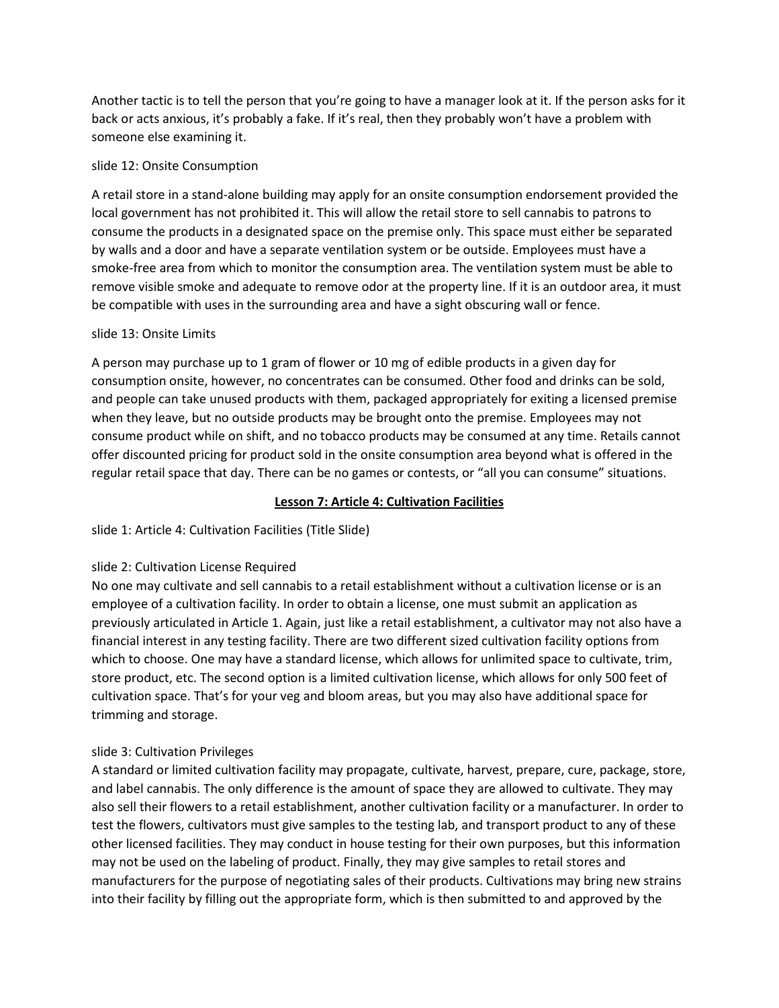Another tactic is to tell the person that you're going to have a manager look at it. If the person asks for it back or acts anxious, it's probably a fake. If it's real, then they probably won't have a problem with someone else examining it.

# slide 12: Onsite Consumption

A retail store in a stand-alone building may apply for an onsite consumption endorsement provided the local government has not prohibited it. This will allow the retail store to sell cannabis to patrons to consume the products in a designated space on the premise only. This space must either be separated by walls and a door and have a separate ventilation system or be outside. Employees must have a smoke-free area from which to monitor the consumption area. The ventilation system must be able to remove visible smoke and adequate to remove odor at the property line. If it is an outdoor area, it must be compatible with uses in the surrounding area and have a sight obscuring wall or fence.

# slide 13: Onsite Limits

A person may purchase up to 1 gram of flower or 10 mg of edible products in a given day for consumption onsite, however, no concentrates can be consumed. Other food and drinks can be sold, and people can take unused products with them, packaged appropriately for exiting a licensed premise when they leave, but no outside products may be brought onto the premise. Employees may not consume product while on shift, and no tobacco products may be consumed at any time. Retails cannot offer discounted pricing for product sold in the onsite consumption area beyond what is offered in the regular retail space that day. There can be no games or contests, or "all you can consume" situations.

# **Lesson 7: Article 4: Cultivation Facilities**

# slide 1: Article 4: Cultivation Facilities (Title Slide)

# slide 2: Cultivation License Required

No one may cultivate and sell cannabis to a retail establishment without a cultivation license or is an employee of a cultivation facility. In order to obtain a license, one must submit an application as previously articulated in Article 1. Again, just like a retail establishment, a cultivator may not also have a financial interest in any testing facility. There are two different sized cultivation facility options from which to choose. One may have a standard license, which allows for unlimited space to cultivate, trim, store product, etc. The second option is a limited cultivation license, which allows for only 500 feet of cultivation space. That's for your veg and bloom areas, but you may also have additional space for trimming and storage.

# slide 3: Cultivation Privileges

A standard or limited cultivation facility may propagate, cultivate, harvest, prepare, cure, package, store, and label cannabis. The only difference is the amount of space they are allowed to cultivate. They may also sell their flowers to a retail establishment, another cultivation facility or a manufacturer. In order to test the flowers, cultivators must give samples to the testing lab, and transport product to any of these other licensed facilities. They may conduct in house testing for their own purposes, but this information may not be used on the labeling of product. Finally, they may give samples to retail stores and manufacturers for the purpose of negotiating sales of their products. Cultivations may bring new strains into their facility by filling out the appropriate form, which is then submitted to and approved by the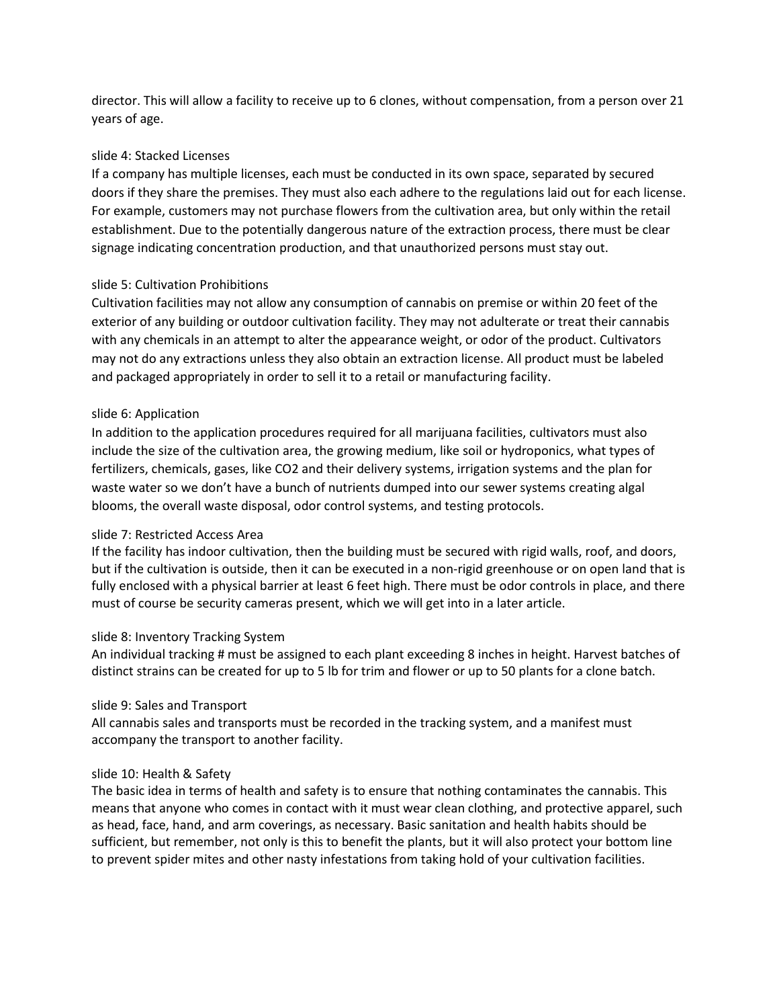director. This will allow a facility to receive up to 6 clones, without compensation, from a person over 21 years of age.

# slide 4: Stacked Licenses

If a company has multiple licenses, each must be conducted in its own space, separated by secured doors if they share the premises. They must also each adhere to the regulations laid out for each license. For example, customers may not purchase flowers from the cultivation area, but only within the retail establishment. Due to the potentially dangerous nature of the extraction process, there must be clear signage indicating concentration production, and that unauthorized persons must stay out.

# slide 5: Cultivation Prohibitions

Cultivation facilities may not allow any consumption of cannabis on premise or within 20 feet of the exterior of any building or outdoor cultivation facility. They may not adulterate or treat their cannabis with any chemicals in an attempt to alter the appearance weight, or odor of the product. Cultivators may not do any extractions unless they also obtain an extraction license. All product must be labeled and packaged appropriately in order to sell it to a retail or manufacturing facility.

# slide 6: Application

In addition to the application procedures required for all marijuana facilities, cultivators must also include the size of the cultivation area, the growing medium, like soil or hydroponics, what types of fertilizers, chemicals, gases, like CO2 and their delivery systems, irrigation systems and the plan for waste water so we don't have a bunch of nutrients dumped into our sewer systems creating algal blooms, the overall waste disposal, odor control systems, and testing protocols.

# slide 7: Restricted Access Area

If the facility has indoor cultivation, then the building must be secured with rigid walls, roof, and doors, but if the cultivation is outside, then it can be executed in a non-rigid greenhouse or on open land that is fully enclosed with a physical barrier at least 6 feet high. There must be odor controls in place, and there must of course be security cameras present, which we will get into in a later article.

# slide 8: Inventory Tracking System

An individual tracking # must be assigned to each plant exceeding 8 inches in height. Harvest batches of distinct strains can be created for up to 5 lb for trim and flower or up to 50 plants for a clone batch.

# slide 9: Sales and Transport

All cannabis sales and transports must be recorded in the tracking system, and a manifest must accompany the transport to another facility.

# slide 10: Health & Safety

The basic idea in terms of health and safety is to ensure that nothing contaminates the cannabis. This means that anyone who comes in contact with it must wear clean clothing, and protective apparel, such as head, face, hand, and arm coverings, as necessary. Basic sanitation and health habits should be sufficient, but remember, not only is this to benefit the plants, but it will also protect your bottom line to prevent spider mites and other nasty infestations from taking hold of your cultivation facilities.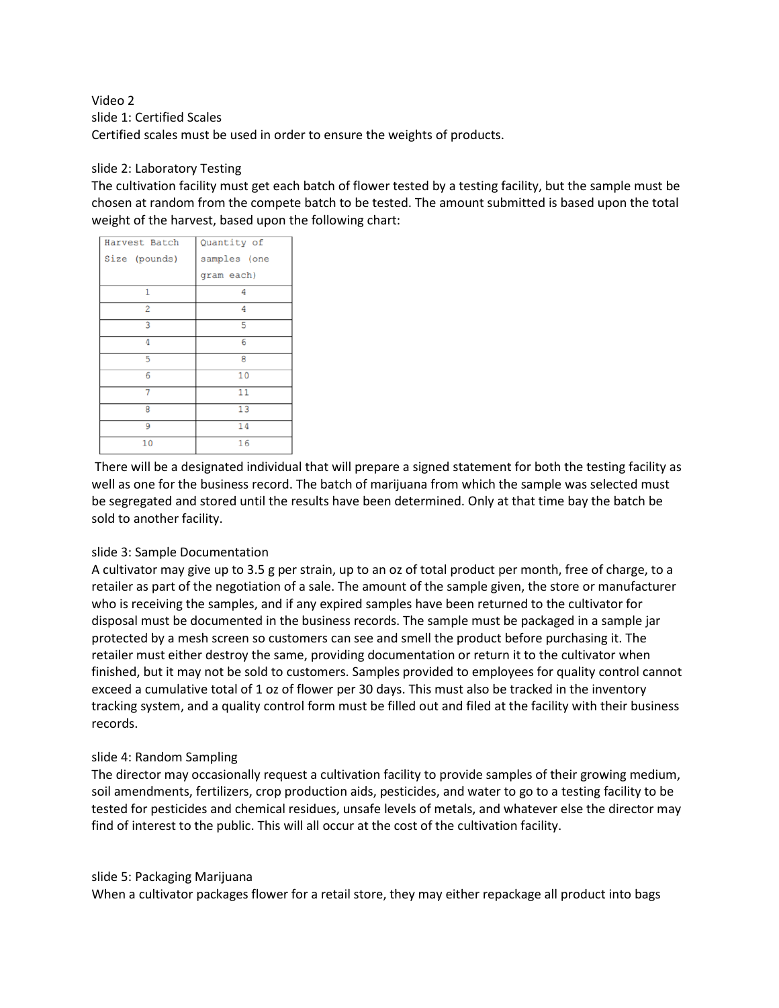Video 2 slide 1: Certified Scales Certified scales must be used in order to ensure the weights of products.

# slide 2: Laboratory Testing

The cultivation facility must get each batch of flower tested by a testing facility, but the sample must be chosen at random from the compete batch to be tested. The amount submitted is based upon the total weight of the harvest, based upon the following chart:

| Harvest Batch  | Quantity of  |
|----------------|--------------|
| Size (pounds)  | samples (one |
|                | gram each)   |
| 1              | 4            |
| $\overline{2}$ | 4            |
| 3              | 5            |
| 4              | 6            |
| 5              | 8            |
| 6              | 10           |
| 7              | 11           |
| 8              | 13           |
| 9              | 14           |
| 10             | 16           |

There will be a designated individual that will prepare a signed statement for both the testing facility as well as one for the business record. The batch of marijuana from which the sample was selected must be segregated and stored until the results have been determined. Only at that time bay the batch be sold to another facility.

# slide 3: Sample Documentation

A cultivator may give up to 3.5 g per strain, up to an oz of total product per month, free of charge, to a retailer as part of the negotiation of a sale. The amount of the sample given, the store or manufacturer who is receiving the samples, and if any expired samples have been returned to the cultivator for disposal must be documented in the business records. The sample must be packaged in a sample jar protected by a mesh screen so customers can see and smell the product before purchasing it. The retailer must either destroy the same, providing documentation or return it to the cultivator when finished, but it may not be sold to customers. Samples provided to employees for quality control cannot exceed a cumulative total of 1 oz of flower per 30 days. This must also be tracked in the inventory tracking system, and a quality control form must be filled out and filed at the facility with their business records.

# slide 4: Random Sampling

The director may occasionally request a cultivation facility to provide samples of their growing medium, soil amendments, fertilizers, crop production aids, pesticides, and water to go to a testing facility to be tested for pesticides and chemical residues, unsafe levels of metals, and whatever else the director may find of interest to the public. This will all occur at the cost of the cultivation facility.

#### slide 5: Packaging Marijuana

When a cultivator packages flower for a retail store, they may either repackage all product into bags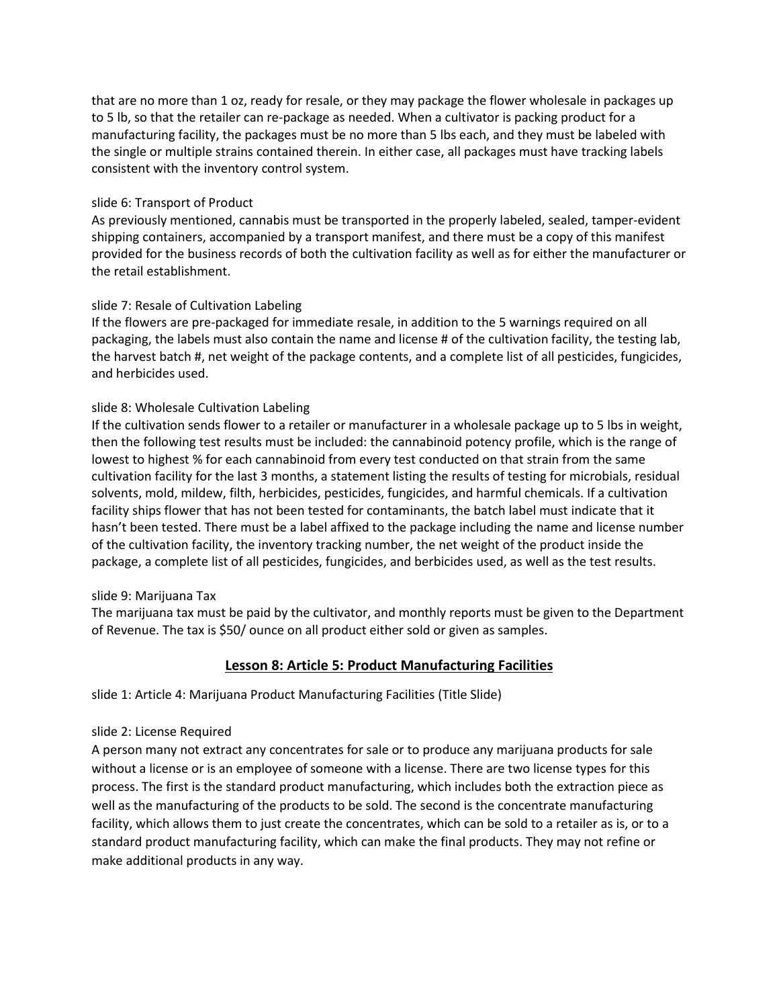that are no more than 1 oz, ready for resale, or they may package the flower wholesale in packages up to 5 lb, so that the retailer can re-package as needed. When a cultivator is packing product for a manufacturing facility, the packages must be no more than 5 lbs each, and they must be labeled with the single or multiple strains contained therein. In either case, all packages must have tracking labels consistent with the inventory control system.

# slide 6: Transport of Product

As previously mentioned, cannabis must be transported in the properly labeled, sealed, tamper-evident shipping containers, accompanied by a transport manifest, and there must be a copy of this manifest provided for the business records of both the cultivation facility as well as for either the manufacturer or the retail establishment.

# slide 7: Resale of Cultivation Labeling

If the flowers are pre-packaged for immediate resale, in addition to the 5 warnings required on all packaging, the labels must also contain the name and license # of the cultivation facility, the testing lab, the harvest batch #, net weight of the package contents, and a complete list of all pesticides, fungicides, and herbicides used.

# slide 8: Wholesale Cultivation Labeling

If the cultivation sends flower to a retailer or manufacturer in a wholesale package up to 5 lbs in weight, then the following test results must be included: the cannabinoid potency profile, which is the range of lowest to highest % for each cannabinoid from every test conducted on that strain from the same cultivation facility for the last 3 months, a statement listing the results of testing for microbials, residual solvents, mold, mildew, filth, herbicides, pesticides, fungicides, and harmful chemicals. If a cultivation facility ships flower that has not been tested for contaminants, the batch label must indicate that it hasn't been tested. There must be a label affixed to the package including the name and license number of the cultivation facility, the inventory tracking number, the net weight of the product inside the package, a complete list of all pesticides, fungicides, and berbicides used, as well as the test results.

#### slide 9: Marijuana Tax

The marijuana tax must be paid by the cultivator, and monthly reports must be given to the Department of Revenue. The tax is \$50/ ounce on all product either sold or given as samples.

# **Lesson 8: Article 5: Product Manufacturing Facilities**

slide 1: Article 4: Marijuana Product Manufacturing Facilities (Title Slide)

#### slide 2: License Required

A person many not extract any concentrates for sale or to produce any marijuana products for sale without a license or is an employee of someone with a license. There are two license types for this process. The first is the standard product manufacturing, which includes both the extraction piece as well as the manufacturing of the products to be sold. The second is the concentrate manufacturing facility, which allows them to just create the concentrates, which can be sold to a retailer as is, or to a standard product manufacturing facility, which can make the final products. They may not refine or make additional products in any way.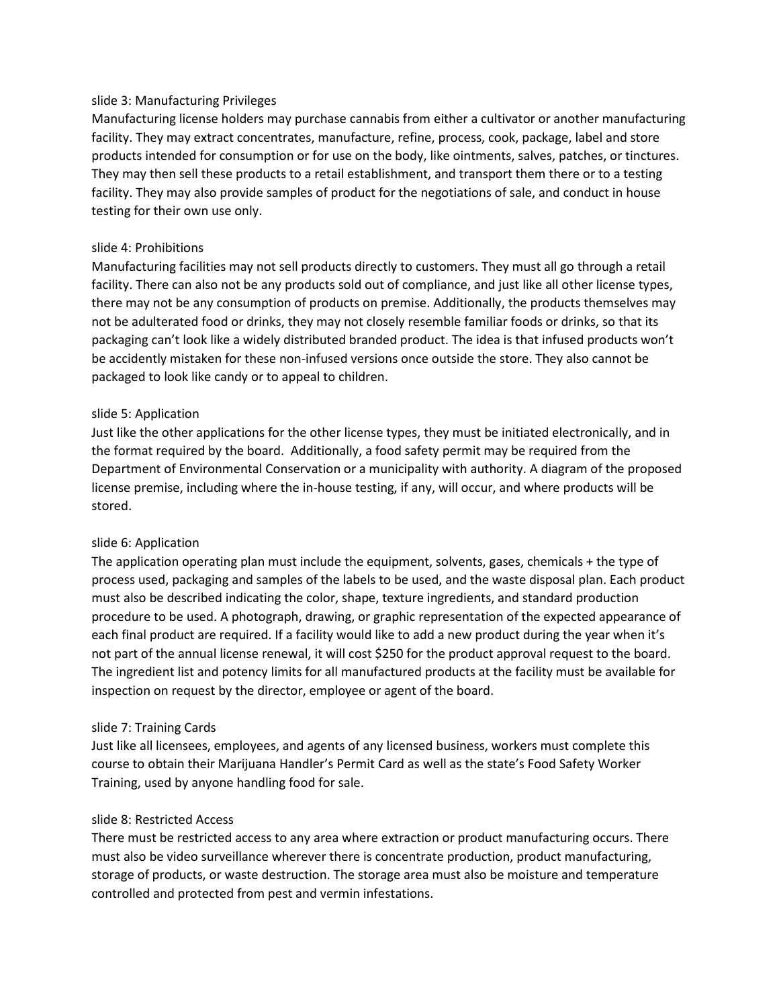### slide 3: Manufacturing Privileges

Manufacturing license holders may purchase cannabis from either a cultivator or another manufacturing facility. They may extract concentrates, manufacture, refine, process, cook, package, label and store products intended for consumption or for use on the body, like ointments, salves, patches, or tinctures. They may then sell these products to a retail establishment, and transport them there or to a testing facility. They may also provide samples of product for the negotiations of sale, and conduct in house testing for their own use only.

### slide 4: Prohibitions

Manufacturing facilities may not sell products directly to customers. They must all go through a retail facility. There can also not be any products sold out of compliance, and just like all other license types, there may not be any consumption of products on premise. Additionally, the products themselves may not be adulterated food or drinks, they may not closely resemble familiar foods or drinks, so that its packaging can't look like a widely distributed branded product. The idea is that infused products won't be accidently mistaken for these non-infused versions once outside the store. They also cannot be packaged to look like candy or to appeal to children.

### slide 5: Application

Just like the other applications for the other license types, they must be initiated electronically, and in the format required by the board. Additionally, a food safety permit may be required from the Department of Environmental Conservation or a municipality with authority. A diagram of the proposed license premise, including where the in-house testing, if any, will occur, and where products will be stored.

# slide 6: Application

The application operating plan must include the equipment, solvents, gases, chemicals  $+$  the type of process used, packaging and samples of the labels to be used, and the waste disposal plan. Each product must also be described indicating the color, shape, texture ingredients, and standard production procedure to be used. A photograph, drawing, or graphic representation of the expected appearance of each final product are required. If a facility would like to add a new product during the year when it's not part of the annual license renewal, it will cost \$250 for the product approval request to the board. The ingredient list and potency limits for all manufactured products at the facility must be available for inspection on request by the director, employee or agent of the board.

#### slide 7: Training Cards

Just like all licensees, employees, and agents of any licensed business, workers must complete this course to obtain their Marijuana Handler's Permit Card as well as the state's Food Safety Worker Training, used by anyone handling food for sale.

#### slide 8: Restricted Access

There must be restricted access to any area where extraction or product manufacturing occurs. There must also be video surveillance wherever there is concentrate production, product manufacturing, storage of products, or waste destruction. The storage area must also be moisture and temperature controlled and protected from pest and vermin infestations.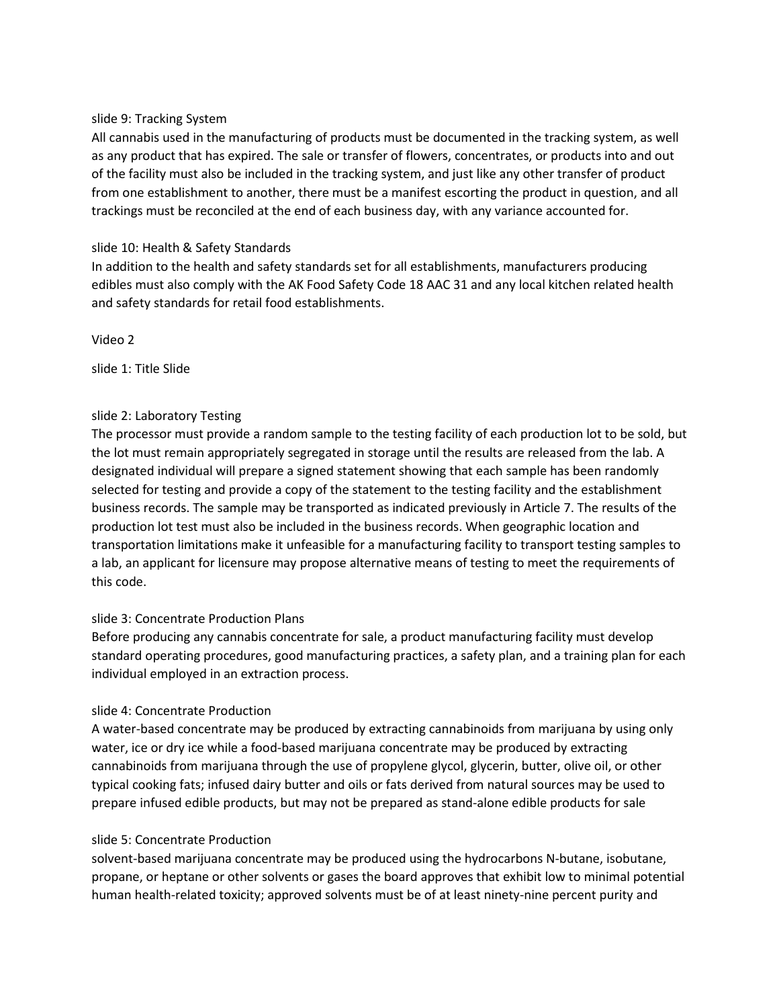### slide 9: Tracking System

All cannabis used in the manufacturing of products must be documented in the tracking system, as well as any product that has expired. The sale or transfer of flowers, concentrates, or products into and out of the facility must also be included in the tracking system, and just like any other transfer of product from one establishment to another, there must be a manifest escorting the product in question, and all trackings must be reconciled at the end of each business day, with any variance accounted for.

# slide 10: Health & Safety Standards

In addition to the health and safety standards set for all establishments, manufacturers producing edibles must also comply with the AK Food Safety Code 18 AAC 31 and any local kitchen related health and safety standards for retail food establishments.

Video 2

slide 1: Title Slide

# slide 2: Laboratory Testing

The processor must provide a random sample to the testing facility of each production lot to be sold, but the lot must remain appropriately segregated in storage until the results are released from the lab. A designated individual will prepare a signed statement showing that each sample has been randomly selected for testing and provide a copy of the statement to the testing facility and the establishment business records. The sample may be transported as indicated previously in Article 7. The results of the production lot test must also be included in the business records. When geographic location and transportation limitations make it unfeasible for a manufacturing facility to transport testing samples to a lab, an applicant for licensure may propose alternative means of testing to meet the requirements of this code.

# slide 3: Concentrate Production Plans

Before producing any cannabis concentrate for sale, a product manufacturing facility must develop standard operating procedures, good manufacturing practices, a safety plan, and a training plan for each individual employed in an extraction process.

# slide 4: Concentrate Production

A water-based concentrate may be produced by extracting cannabinoids from marijuana by using only water, ice or dry ice while a food-based marijuana concentrate may be produced by extracting cannabinoids from marijuana through the use of propylene glycol, glycerin, butter, olive oil, or other typical cooking fats; infused dairy butter and oils or fats derived from natural sources may be used to prepare infused edible products, but may not be prepared as stand-alone edible products for sale

# slide 5: Concentrate Production

solvent-based marijuana concentrate may be produced using the hydrocarbons N-butane, isobutane, propane, or heptane or other solvents or gases the board approves that exhibit low to minimal potential human health-related toxicity; approved solvents must be of at least ninety-nine percent purity and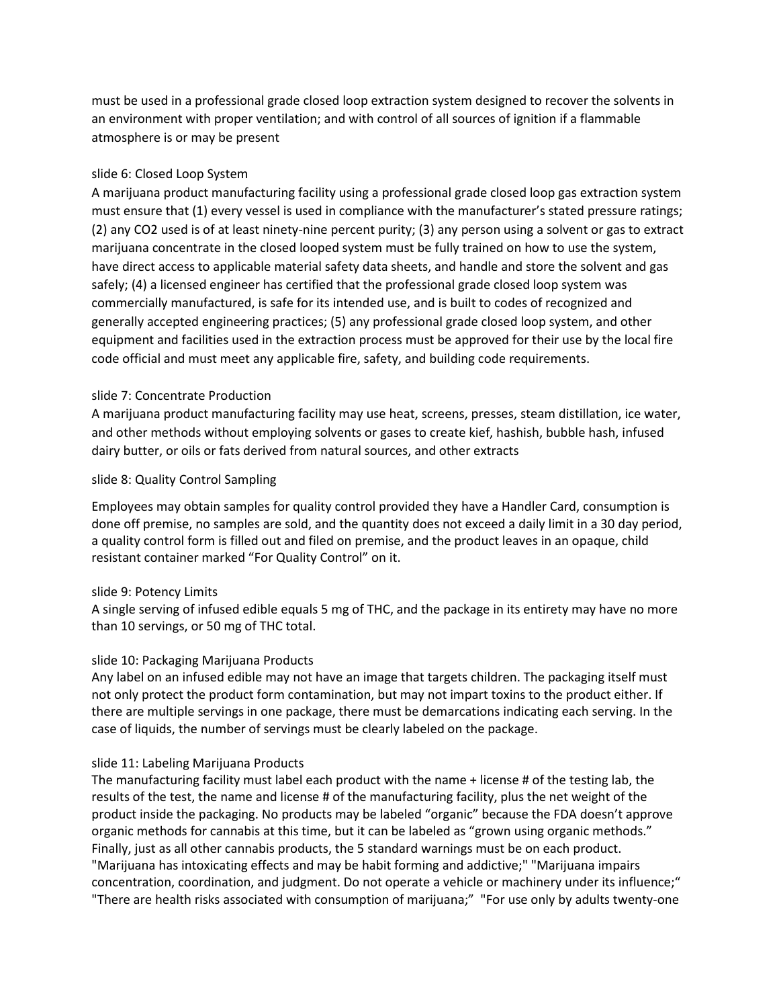must be used in a professional grade closed loop extraction system designed to recover the solvents in an environment with proper ventilation; and with control of all sources of ignition if a flammable atmosphere is or may be present

# slide 6: Closed Loop System

A marijuana product manufacturing facility using a professional grade closed loop gas extraction system must ensure that (1) every vessel is used in compliance with the manufacturer's stated pressure ratings; (2) any CO2 used is of at least ninety-nine percent purity; (3) any person using a solvent or gas to extract marijuana concentrate in the closed looped system must be fully trained on how to use the system, have direct access to applicable material safety data sheets, and handle and store the solvent and gas safely; (4) a licensed engineer has certified that the professional grade closed loop system was commercially manufactured, is safe for its intended use, and is built to codes of recognized and generally accepted engineering practices; (5) any professional grade closed loop system, and other equipment and facilities used in the extraction process must be approved for their use by the local fire code official and must meet any applicable fire, safety, and building code requirements.

# slide 7: Concentrate Production

A marijuana product manufacturing facility may use heat, screens, presses, steam distillation, ice water, and other methods without employing solvents or gases to create kief, hashish, bubble hash, infused dairy butter, or oils or fats derived from natural sources, and other extracts

# slide 8: Quality Control Sampling

Employees may obtain samples for quality control provided they have a Handler Card, consumption is done off premise, no samples are sold, and the quantity does not exceed a daily limit in a 30 day period, a quality control form is filled out and filed on premise, and the product leaves in an opaque, child resistant container marked "For Quality Control" on it.

# slide 9: Potency Limits

A single serving of infused edible equals 5 mg of THC, and the package in its entirety may have no more than 10 servings, or 50 mg of THC total.

# slide 10: Packaging Marijuana Products

Any label on an infused edible may not have an image that targets children. The packaging itself must not only protect the product form contamination, but may not impart toxins to the product either. If there are multiple servings in one package, there must be demarcations indicating each serving. In the case of liquids, the number of servings must be clearly labeled on the package.

# slide 11: Labeling Marijuana Products

The manufacturing facility must label each product with the name + license # of the testing lab, the results of the test, the name and license # of the manufacturing facility, plus the net weight of the product inside the packaging. No products may be labeled "organic" because the FDA doesn't approve organic methods for cannabis at this time, but it can be labeled as "grown using organic methods." Finally, just as all other cannabis products, the 5 standard warnings must be on each product. "Marijuana has intoxicating effects and may be habit forming and addictive;" "Marijuana impairs concentration, coordination, and judgment. Do not operate a vehicle or machinery under its influence;" "There are health risks associated with consumption of marijuana;" "For use only by adults twenty-one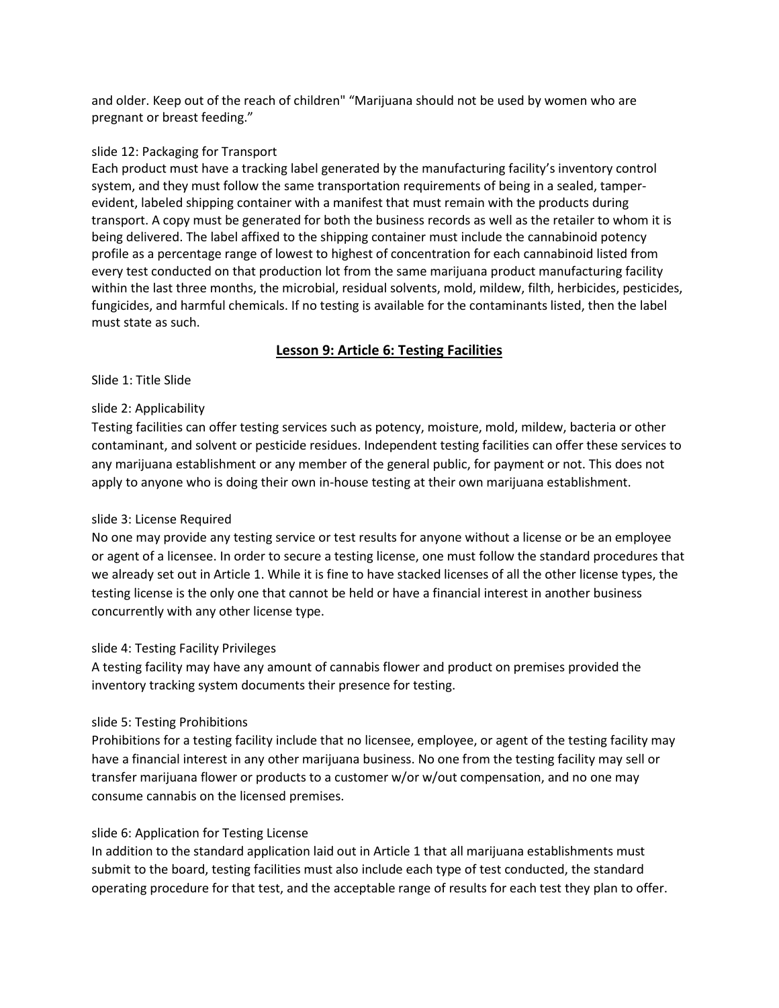and older. Keep out of the reach of children" "Marijuana should not be used by women who are pregnant or breast feeding."

### slide 12: Packaging for Transport

Each product must have a tracking label generated by the manufacturing facility's inventory control system, and they must follow the same transportation requirements of being in a sealed, tamperevident, labeled shipping container with a manifest that must remain with the products during transport. A copy must be generated for both the business records as well as the retailer to whom it is being delivered. The label affixed to the shipping container must include the cannabinoid potency profile as a percentage range of lowest to highest of concentration for each cannabinoid listed from every test conducted on that production lot from the same marijuana product manufacturing facility within the last three months, the microbial, residual solvents, mold, mildew, filth, herbicides, pesticides, fungicides, and harmful chemicals. If no testing is available for the contaminants listed, then the label must state as such.

# **Lesson 9: Article 6: Testing Facilities**

# Slide 1: Title Slide

# slide 2: Applicability

Testing facilities can offer testing services such as potency, moisture, mold, mildew, bacteria or other contaminant, and solvent or pesticide residues. Independent testing facilities can offer these services to any marijuana establishment or any member of the general public, for payment or not. This does not apply to anyone who is doing their own in-house testing at their own marijuana establishment.

# slide 3: License Required

No one may provide any testing service or test results for anyone without a license or be an employee or agent of a licensee. In order to secure a testing license, one must follow the standard procedures that we already set out in Article 1. While it is fine to have stacked licenses of all the other license types, the testing license is the only one that cannot be held or have a financial interest in another business concurrently with any other license type.

# slide 4: Testing Facility Privileges

A testing facility may have any amount of cannabis flower and product on premises provided the inventory tracking system documents their presence for testing.

# slide 5: Testing Prohibitions

Prohibitions for a testing facility include that no licensee, employee, or agent of the testing facility may have a financial interest in any other marijuana business. No one from the testing facility may sell or transfer marijuana flower or products to a customer w/or w/out compensation, and no one may consume cannabis on the licensed premises.

# slide 6: Application for Testing License

In addition to the standard application laid out in Article 1 that all marijuana establishments must submit to the board, testing facilities must also include each type of test conducted, the standard operating procedure for that test, and the acceptable range of results for each test they plan to offer.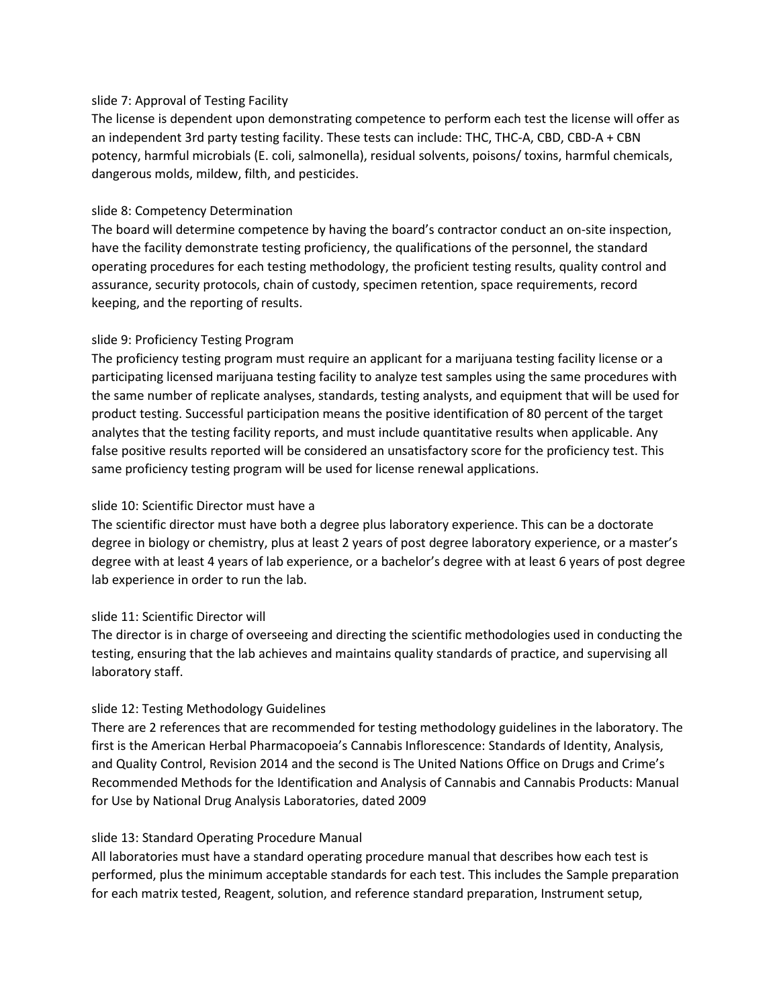# slide 7: Approval of Testing Facility

The license is dependent upon demonstrating competence to perform each test the license will offer as an independent 3rd party testing facility. These tests can include: THC, THC-A, CBD, CBD-A + CBN potency, harmful microbials (E. coli, salmonella), residual solvents, poisons/ toxins, harmful chemicals, dangerous molds, mildew, filth, and pesticides.

### slide 8: Competency Determination

The board will determine competence by having the board's contractor conduct an on-site inspection, have the facility demonstrate testing proficiency, the qualifications of the personnel, the standard operating procedures for each testing methodology, the proficient testing results, quality control and assurance, security protocols, chain of custody, specimen retention, space requirements, record keeping, and the reporting of results.

# slide 9: Proficiency Testing Program

The proficiency testing program must require an applicant for a marijuana testing facility license or a participating licensed marijuana testing facility to analyze test samples using the same procedures with the same number of replicate analyses, standards, testing analysts, and equipment that will be used for product testing. Successful participation means the positive identification of 80 percent of the target analytes that the testing facility reports, and must include quantitative results when applicable. Any false positive results reported will be considered an unsatisfactory score for the proficiency test. This same proficiency testing program will be used for license renewal applications.

#### slide 10: Scientific Director must have a

The scientific director must have both a degree plus laboratory experience. This can be a doctorate degree in biology or chemistry, plus at least 2 years of post degree laboratory experience, or a master's degree with at least 4 years of lab experience, or a bachelor's degree with at least 6 years of post degree lab experience in order to run the lab.

# slide 11: Scientific Director will

The director is in charge of overseeing and directing the scientific methodologies used in conducting the testing, ensuring that the lab achieves and maintains quality standards of practice, and supervising all laboratory staff.

# slide 12: Testing Methodology Guidelines

There are 2 references that are recommended for testing methodology guidelines in the laboratory. The first is the American Herbal Pharmacopoeia's Cannabis Inflorescence: Standards of Identity, Analysis, and Quality Control, Revision 2014 and the second is The United Nations Office on Drugs and Crime's Recommended Methods for the Identification and Analysis of Cannabis and Cannabis Products: Manual for Use by National Drug Analysis Laboratories, dated 2009

#### slide 13: Standard Operating Procedure Manual

All laboratories must have a standard operating procedure manual that describes how each test is performed, plus the minimum acceptable standards for each test. This includes the Sample preparation for each matrix tested, Reagent, solution, and reference standard preparation, Instrument setup,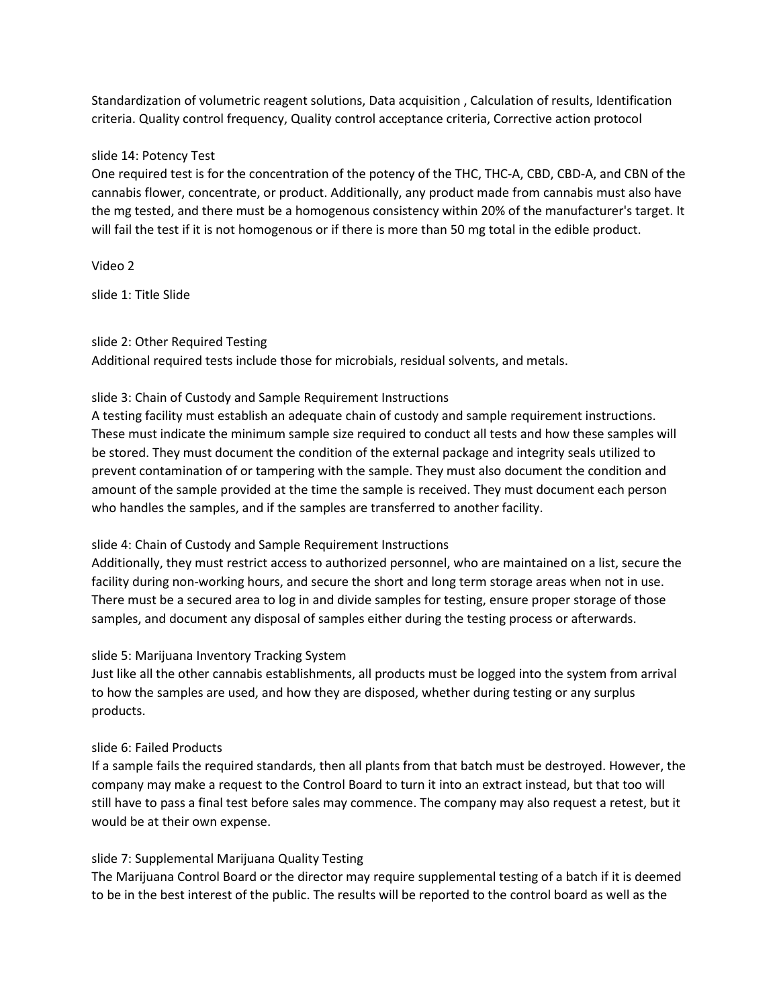Standardization of volumetric reagent solutions, Data acquisition , Calculation of results, Identification criteria. Quality control frequency, Quality control acceptance criteria, Corrective action protocol

# slide 14: Potency Test

One required test is for the concentration of the potency of the THC, THC-A, CBD, CBD-A, and CBN of the cannabis flower, concentrate, or product. Additionally, any product made from cannabis must also have the mg tested, and there must be a homogenous consistency within 20% of the manufacturer's target. It will fail the test if it is not homogenous or if there is more than 50 mg total in the edible product.

Video 2

slide 1: Title Slide

# slide 2: Other Required Testing

Additional required tests include those for microbials, residual solvents, and metals.

# slide 3: Chain of Custody and Sample Requirement Instructions

A testing facility must establish an adequate chain of custody and sample requirement instructions. These must indicate the minimum sample size required to conduct all tests and how these samples will be stored. They must document the condition of the external package and integrity seals utilized to prevent contamination of or tampering with the sample. They must also document the condition and amount of the sample provided at the time the sample is received. They must document each person who handles the samples, and if the samples are transferred to another facility.

# slide 4: Chain of Custody and Sample Requirement Instructions

Additionally, they must restrict access to authorized personnel, who are maintained on a list, secure the facility during non-working hours, and secure the short and long term storage areas when not in use. There must be a secured area to log in and divide samples for testing, ensure proper storage of those samples, and document any disposal of samples either during the testing process or afterwards.

# slide 5: Marijuana Inventory Tracking System

Just like all the other cannabis establishments, all products must be logged into the system from arrival to how the samples are used, and how they are disposed, whether during testing or any surplus products.

# slide 6: Failed Products

If a sample fails the required standards, then all plants from that batch must be destroyed. However, the company may make a request to the Control Board to turn it into an extract instead, but that too will still have to pass a final test before sales may commence. The company may also request a retest, but it would be at their own expense.

# slide 7: Supplemental Marijuana Quality Testing

The Marijuana Control Board or the director may require supplemental testing of a batch if it is deemed to be in the best interest of the public. The results will be reported to the control board as well as the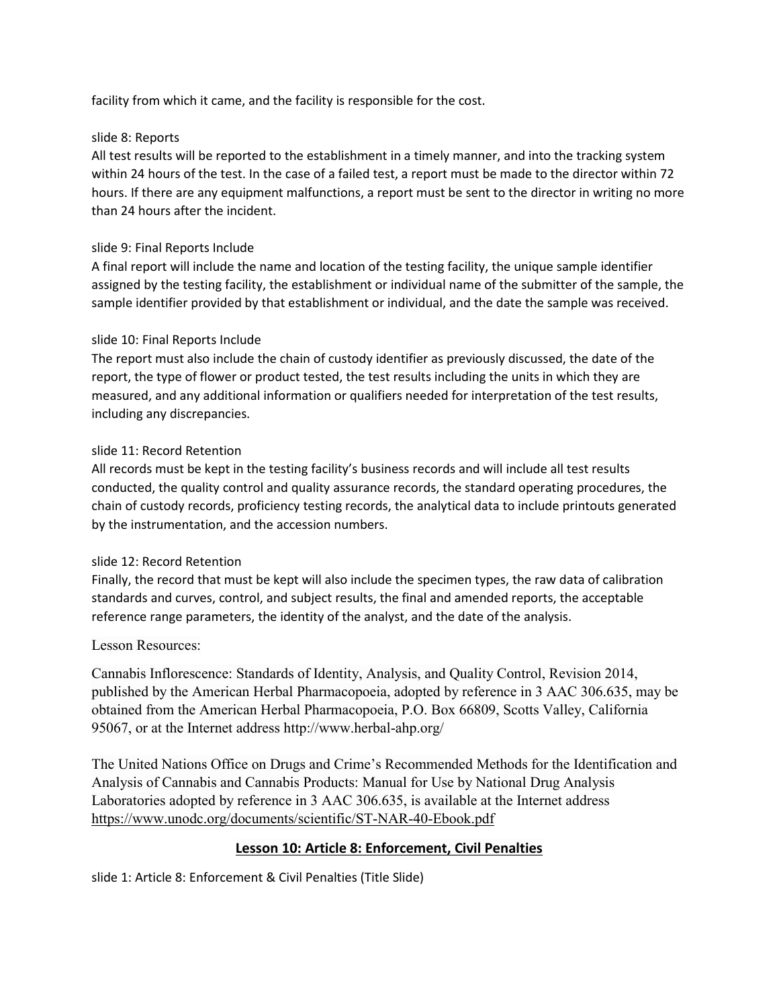facility from which it came, and the facility is responsible for the cost.

# slide 8: Reports

All test results will be reported to the establishment in a timely manner, and into the tracking system within 24 hours of the test. In the case of a failed test, a report must be made to the director within 72 hours. If there are any equipment malfunctions, a report must be sent to the director in writing no more than 24 hours after the incident.

# slide 9: Final Reports Include

A final report will include the name and location of the testing facility, the unique sample identifier assigned by the testing facility, the establishment or individual name of the submitter of the sample, the sample identifier provided by that establishment or individual, and the date the sample was received.

# slide 10: Final Reports Include

The report must also include the chain of custody identifier as previously discussed, the date of the report, the type of flower or product tested, the test results including the units in which they are measured, and any additional information or qualifiers needed for interpretation of the test results, including any discrepancies.

# slide 11: Record Retention

All records must be kept in the testing facility's business records and will include all test results conducted, the quality control and quality assurance records, the standard operating procedures, the chain of custody records, proficiency testing records, the analytical data to include printouts generated by the instrumentation, and the accession numbers.

# slide 12: Record Retention

Finally, the record that must be kept will also include the specimen types, the raw data of calibration standards and curves, control, and subject results, the final and amended reports, the acceptable reference range parameters, the identity of the analyst, and the date of the analysis.

# Lesson Resources:

Cannabis Inflorescence: Standards of Identity, Analysis, and Quality Control, Revision 2014, published by the American Herbal Pharmacopoeia, adopted by reference in 3 AAC 306.635, may be obtained from the American Herbal Pharmacopoeia, P.O. Box 66809, Scotts Valley, California 95067, or at the Internet address http://www.herbal-ahp.org/

The United Nations Office on Drugs and Crime's Recommended Methods for the Identification and Analysis of Cannabis and Cannabis Products: Manual for Use by National Drug Analysis Laboratories adopted by reference in 3 AAC 306.635, is available at the Internet address <https://www.unodc.org/documents/scientific/ST-NAR-40-Ebook.pdf>

# **Lesson 10: Article 8: Enforcement, Civil Penalties**

slide 1: Article 8: Enforcement & Civil Penalties (Title Slide)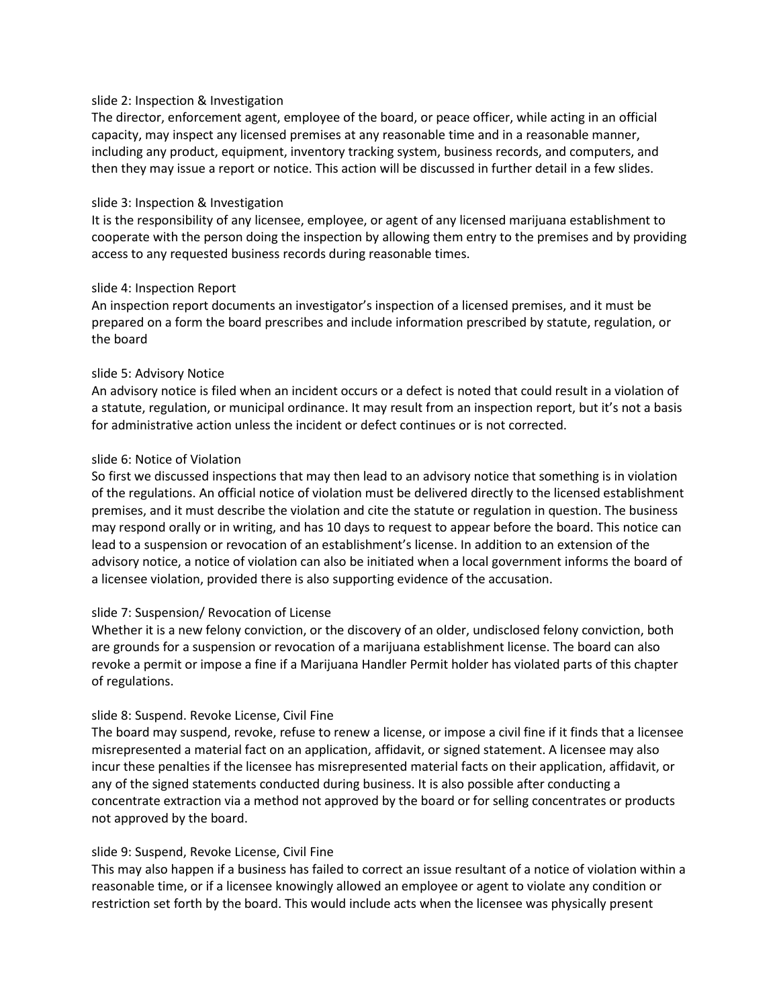### slide 2: Inspection & Investigation

The director, enforcement agent, employee of the board, or peace officer, while acting in an official capacity, may inspect any licensed premises at any reasonable time and in a reasonable manner, including any product, equipment, inventory tracking system, business records, and computers, and then they may issue a report or notice. This action will be discussed in further detail in a few slides.

#### slide 3: Inspection & Investigation

It is the responsibility of any licensee, employee, or agent of any licensed marijuana establishment to cooperate with the person doing the inspection by allowing them entry to the premises and by providing access to any requested business records during reasonable times.

### slide 4: Inspection Report

An inspection report documents an investigator's inspection of a licensed premises, and it must be prepared on a form the board prescribes and include information prescribed by statute, regulation, or the board

### slide 5: Advisory Notice

An advisory notice is filed when an incident occurs or a defect is noted that could result in a violation of a statute, regulation, or municipal ordinance. It may result from an inspection report, but it's not a basis for administrative action unless the incident or defect continues or is not corrected.

### slide 6: Notice of Violation

So first we discussed inspections that may then lead to an advisory notice that something is in violation of the regulations. An official notice of violation must be delivered directly to the licensed establishment premises, and it must describe the violation and cite the statute or regulation in question. The business may respond orally or in writing, and has 10 days to request to appear before the board. This notice can lead to a suspension or revocation of an establishment's license. In addition to an extension of the advisory notice, a notice of violation can also be initiated when a local government informs the board of a licensee violation, provided there is also supporting evidence of the accusation.

# slide 7: Suspension/ Revocation of License

Whether it is a new felony conviction, or the discovery of an older, undisclosed felony conviction, both are grounds for a suspension or revocation of a marijuana establishment license. The board can also revoke a permit or impose a fine if a Marijuana Handler Permit holder has violated parts of this chapter of regulations.

# slide 8: Suspend. Revoke License, Civil Fine

The board may suspend, revoke, refuse to renew a license, or impose a civil fine if it finds that a licensee misrepresented a material fact on an application, affidavit, or signed statement. A licensee may also incur these penalties if the licensee has misrepresented material facts on their application, affidavit, or any of the signed statements conducted during business. It is also possible after conducting a concentrate extraction via a method not approved by the board or for selling concentrates or products not approved by the board.

# slide 9: Suspend, Revoke License, Civil Fine

This may also happen if a business has failed to correct an issue resultant of a notice of violation within a reasonable time, or if a licensee knowingly allowed an employee or agent to violate any condition or restriction set forth by the board. This would include acts when the licensee was physically present